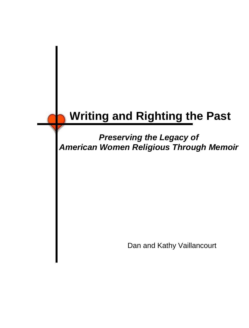## **Writing and Righting the Past**

*Preserving the Legacy of American Women Religious Through Memoir*

Dan and Kathy Vaillancourt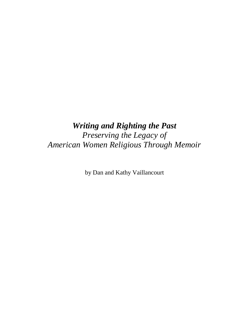## *Writing and Righting the Past*

*Preserving the Legacy of American Women Religious Through Memoir*

by Dan and Kathy Vaillancourt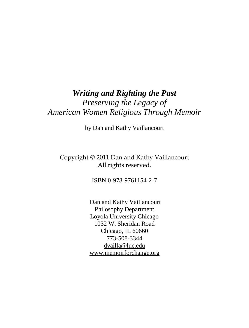## *Writing and Righting the Past Preserving the Legacy of American Women Religious Through Memoir*

by Dan and Kathy Vaillancourt

#### Copyright © 2011 Dan and Kathy Vaillancourt All rights reserved.

ISBN 0-978-9761154-2-7

Dan and Kathy Vaillancourt Philosophy Department Loyola University Chicago 1032 W. Sheridan Road Chicago, IL 60660 773-508-3344 [dvailla@luc.edu](mailto:dvailla@luc.edu) [www.memoirforchange.org](http://www.memoirforchange.org/)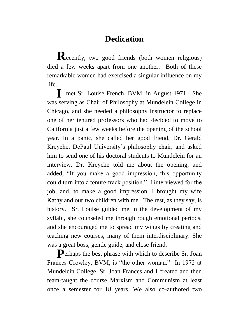## **Dedication**

**R** ecently, two good friends (both women religious) died a few weeks apart from one another. Both of these remarkable women had exercised a singular influence on my life.

I met Sr. Louise French, BVM, in August 1971. She was serving as Chair of Philosophy at Mundelein College in Chicago, and she needed a philosophy instructor to replace one of her tenured professors who had decided to move to California just a few weeks before the opening of the school year. In a panic, she called her good friend, Dr. Gerald Kreyche, DePaul University"s philosophy chair, and asked him to send one of his doctoral students to Mundelein for an interview. Dr. Kreyche told me about the opening, and added, "If you make a good impression, this opportunity could turn into a tenure-track position." I interviewed for the job, and, to make a good impression, I brought my wife Kathy and our two children with me. The rest, as they say, is history. Sr. Louise guided me in the development of my syllabi, she counseled me through rough emotional periods, and she encouraged me to spread my wings by creating and teaching new courses, many of them interdisciplinary. She was a great boss, gentle guide, and close friend.

Perhaps the best phrase with which to describe Sr. Joan Frances Crowley, BVM, is "the other woman." In 1972 at Mundelein College, Sr. Joan Frances and I created and then team-taught the course Marxism and Communism at least once a semester for 18 years. We also co-authored two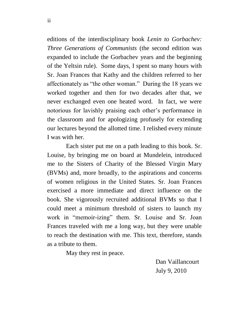editions of the interdisciplinary book *Lenin to Gorbachev: Three Generations of Communists* (the second edition was expanded to include the Gorbachev years and the beginning of the Yeltsin rule). Some days, I spent so many hours with Sr. Joan Frances that Kathy and the children referred to her affectionately as "the other woman." During the 18 years we worked together and then for two decades after that, we never exchanged even one heated word. In fact, we were notorious for lavishly praising each other"s performance in the classroom and for apologizing profusely for extending our lectures beyond the allotted time. I relished every minute I was with her.

Each sister put me on a path leading to this book. Sr. Louise, by bringing me on board at Mundelein, introduced me to the Sisters of Charity of the Blessed Virgin Mary (BVMs) and, more broadly, to the aspirations and concerns of women religious in the United States. Sr. Joan Frances exercised a more immediate and direct influence on the book. She vigorously recruited additional BVMs so that I could meet a minimum threshold of sisters to launch my work in "memoir-izing" them. Sr. Louise and Sr. Joan Frances traveled with me a long way, but they were unable to reach the destination with me. This text, therefore, stands as a tribute to them.

May they rest in peace.

 Dan Vaillancourt July 9, 2010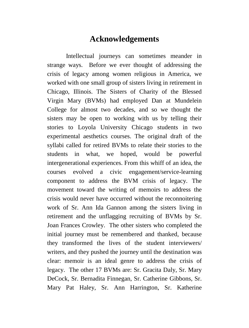### **Acknowledgements**

Intellectual journeys can sometimes meander in strange ways. Before we ever thought of addressing the crisis of legacy among women religious in America, we worked with one small group of sisters living in retirement in Chicago, Illinois. The Sisters of Charity of the Blessed Virgin Mary (BVMs) had employed Dan at Mundelein College for almost two decades, and so we thought the sisters may be open to working with us by telling their stories to Loyola University Chicago students in two experimental aesthetics courses. The original draft of the syllabi called for retired BVMs to relate their stories to the students in what, we hoped, would be powerful intergenerational experiences. From this whiff of an idea, the courses evolved a civic engagement/service-learning component to address the BVM crisis of legacy. The movement toward the writing of memoirs to address the crisis would never have occurred without the reconnoitering work of Sr. Ann Ida Gannon among the sisters living in retirement and the unflagging recruiting of BVMs by Sr. Joan Frances Crowley. The other sisters who completed the initial journey must be remembered and thanked, because they transformed the lives of the student interviewers/ writers, and they pushed the journey until the destination was clear: memoir is an ideal genre to address the crisis of legacy. The other 17 BVMs are: Sr. Gracita Daly, Sr. Mary DeCock, Sr. Bernadita Finnegan, Sr. Catherine Gibbons, Sr. Mary Pat Haley, Sr. Ann Harrington, Sr. Katherine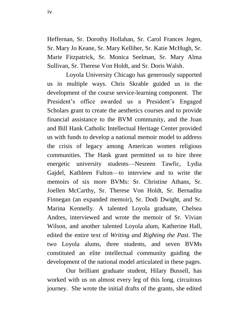Heffernan, Sr. Dorothy Hollahan, Sr. Carol Frances Jegen, Sr. Mary Jo Keane, Sr. Mary Kelliher, Sr. Katie McHugh, Sr. Marie Fitzpatrick, Sr. Monica Seelman, Sr. Mary Alma Sullivan, Sr. Therese Von Holdt, and Sr. Doris Walsh.

Loyola University Chicago has generously supported us in multiple ways. Chris Skrable guided us in the development of the course service-learning component. The President's office awarded us a President's Engaged Scholars grant to create the aesthetics courses and to provide financial assistance to the BVM community, and the Joan and Bill Hank Catholic Intellectual Heritage Center provided us with funds to develop a national memoir model to address the crisis of legacy among American women religious communities. The Hank grant permitted us to hire three energetic university students—Nesreen Tawfic, Lydia Gajdel, Kathleen Fulton—to interview and to write the memoirs of six more BVMs: Sr. Christine Athans, Sr. Joellen McCarthy, Sr. Therese Von Holdt, Sr. Bernadita Finnegan (an expanded memoir), Sr. Dodi Dwight, and Sr. Marina Kennelly. A talented Loyola graduate, Chelsea Andres, interviewed and wrote the memoir of Sr. Vivian Wilson, and another talented Loyola alum, Katherine Hall, edited the entire text of *Writing and Righting the Past*. The two Loyola alums, three students, and seven BVMs constituted an elite intellectual community guiding the development of the national model articulated in these pages.

Our brilliant graduate student, Hilary Bussell, has worked with us on almost every leg of this long, circuitous journey. She wrote the initial drafts of the grants, she edited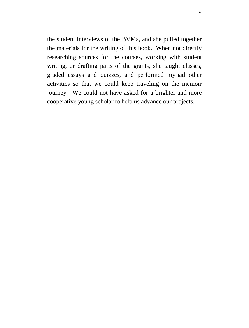the student interviews of the BVMs, and she pulled together the materials for the writing of this book. When not directly researching sources for the courses, working with student writing, or drafting parts of the grants, she taught classes, graded essays and quizzes, and performed myriad other activities so that we could keep traveling on the memoir journey. We could not have asked for a brighter and more cooperative young scholar to help us advance our projects.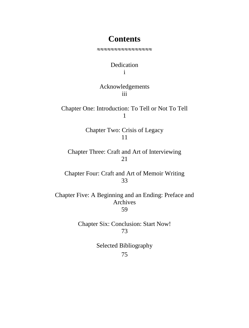### **Contents**

Dedication i

#### Acknowledgements iii

Chapter One: Introduction: To Tell or Not To Tell 1

> Chapter Two: Crisis of Legacy 11

Chapter Three: Craft and Art of Interviewing 21

Chapter Four: Craft and Art of Memoir Writing 33

Chapter Five: A Beginning and an Ending: Preface and Archives 59

> Chapter Six: Conclusion: Start Now! 73

> > Selected Bibliography 75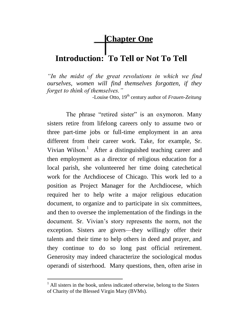**Chapter One**

## **Introduction: To Tell or Not To Tell**

*"In the midst of the great revolutions in which we find ourselves, women will find themselves forgotten, if they forget to think of themselves."*

 *-*Louise Otto*,* 19th century author of *Frauen-Zeitung*

The phrase "retired sister" is an oxymoron. Many sisters retire from lifelong careers only to assume two or three part-time jobs or full-time employment in an area different from their career work. Take, for example, Sr. Vivian Wilson.<sup>1</sup> After a distinguished teaching career and then employment as a director of religious education for a local parish, she volunteered her time doing catechetical work for the Archdiocese of Chicago. This work led to a position as Project Manager for the Archdiocese, which required her to help write a major religious education document, to organize and to participate in six committees, and then to oversee the implementation of the findings in the document. Sr. Vivian's story represents the norm, not the exception. Sisters are givers—they willingly offer their talents and their time to help others in deed and prayer, and they continue to do so long past official retirement. Generosity may indeed characterize the sociological modus operandi of sisterhood. Many questions, then, often arise in

 $<sup>1</sup>$  All sisters in the book, unless indicated otherwise, belong to the Sisters</sup> of Charity of the Blessed Virgin Mary (BVMs).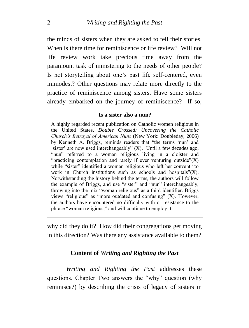the minds of sisters when they are asked to tell their stories. When is there time for reminiscence or life review? Will not life review work take precious time away from the paramount task of ministering to the needs of other people? Is not storytelling about one"s past life self-centered, even immodest? Other questions may relate more directly to the practice of reminiscence among sisters. Have some sisters already embarked on the journey of reminiscence? If so,

#### **Is a sister also a nun?**

A highly regarded recent publication on Catholic women religious in the United States, *Double Crossed: Uncovering the Catholic Church's Betrayal of American Nuns* (New York: Doubleday, 2006) by Kenneth A. Briggs, reminds readers that "the terms "nun" and 'sister' are now used interchangeably"  $(X)$ . Until a few decades ago, "nun" referred to a woman religious living in a cloister and "practicing contemplation and rarely if ever venturing outside" $(X)$ while "sister" identified a woman religious who left her convent "to" work in Church institutions such as schools and hospitals"(X). Notwithstanding the history behind the terms, the authors will follow the example of Briggs, and use "sister" and "nun" interchangeably, throwing into the mix "woman religious" as a third identifier. Briggs views "religious" as "more outdated and confusing" (X). However, the authors have encountered no difficulty with or resistance to the phrase "woman religious," and will continue to employ it.

why did they do it? How did their congregations get moving in this direction? Was there any assistance available to them?

#### **Content of** *Writing and Righting the Past*

*Writing and Righting the Past* addresses these questions. Chapter Two answers the "why" question (why reminisce?) by describing the crisis of legacy of sisters in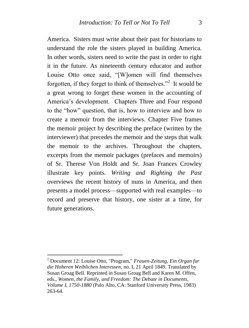America. Sisters must write about their past for historians to understand the role the sisters played in building America. In other words, sisters need to write the past in order to right it in the future. As nineteenth century educator and author Louise Otto once said, "[W]omen will find themselves forgotten, if they forget to think of themselves."<sup>2</sup> It would be a great wrong to forget these women in the accounting of America"s development. Chapters Three and Four respond to the "how" question, that is, how to interview and how to create a memoir from the interviews. Chapter Five frames the memoir project by describing the preface (written by the interviewer) that precedes the memoir and the steps that walk the memoir to the archives. Throughout the chapters, excerpts from the memoir packages (prefaces and memoirs) of Sr. Therese Von Holdt and Sr. Joan Frances Crowley illustrate key points. *Writing and Righting the Past* overviews the recent history of nuns in America, and then presents a model process—supported with real examples—to record and preserve that history, one sister at a time, for future generations.

1

<sup>2</sup> Document 12: Louise Otto, "Program," *Frauen-Zeitung, Ein Organ fur die Hoheren Weiblichen Interessen*, no. I, 21 April 1849. Translated by Susan Groag Bell. Reprinted in Susan Groag Bell and Karen M. Offen, eds., *Women, the Family, and Freedom: The Debate in Documents*, *Volume I, 1750-1880* (Palo Alto, CA: Stanford University Press, 1983) 263-64.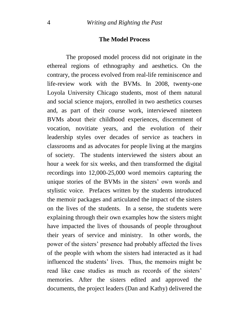#### **The Model Process**

The proposed model process did not originate in the ethereal regions of ethnography and aesthetics. On the contrary, the process evolved from real-life reminiscence and life-review work with the BVMs. In 2008, twenty-one Loyola University Chicago students, most of them natural and social science majors, enrolled in two aesthetics courses and, as part of their course work, interviewed nineteen BVMs about their childhood experiences, discernment of vocation, novitiate years, and the evolution of their leadership styles over decades of service as teachers in classrooms and as advocates for people living at the margins of society. The students interviewed the sisters about an hour a week for six weeks, and then transformed the digital recordings into 12,000-25,000 word memoirs capturing the unique stories of the BVMs in the sisters' own words and stylistic voice. Prefaces written by the students introduced the memoir packages and articulated the impact of the sisters on the lives of the students. In a sense, the students were explaining through their own examples how the sisters might have impacted the lives of thousands of people throughout their years of service and ministry. In other words, the power of the sisters" presence had probably affected the lives of the people with whom the sisters had interacted as it had influenced the students' lives. Thus, the memoirs might be read like case studies as much as records of the sisters' memories. After the sisters edited and approved the documents, the project leaders (Dan and Kathy) delivered the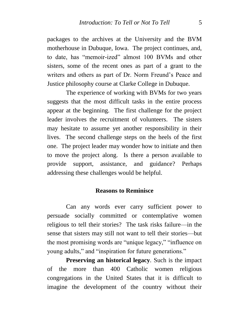packages to the archives at the University and the BVM motherhouse in Dubuque, Iowa. The project continues, and, to date, has "memoir-ized" almost 100 BVMs and other sisters, some of the recent ones as part of a grant to the writers and others as part of Dr. Norm Freund's Peace and Justice philosophy course at Clarke College in Dubuque.

The experience of working with BVMs for two years suggests that the most difficult tasks in the entire process appear at the beginning. The first challenge for the project leader involves the recruitment of volunteers. The sisters may hesitate to assume yet another responsibility in their lives. The second challenge steps on the heels of the first one. The project leader may wonder how to initiate and then to move the project along. Is there a person available to provide support, assistance, and guidance? Perhaps addressing these challenges would be helpful.

#### **Reasons to Reminisce**

Can any words ever carry sufficient power to persuade socially committed or contemplative women religious to tell their stories? The task risks failure—in the sense that sisters may still not want to tell their stories—but the most promising words are "unique legacy," "influence on young adults," and "inspiration for future generations."

**Preserving an historical legacy***.* Such is the impact of the more than 400 Catholic women religious congregations in the United States that it is difficult to imagine the development of the country without their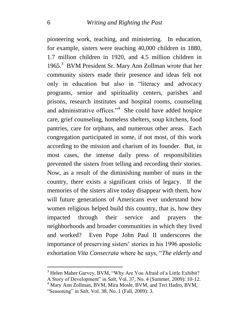pioneering work, teaching, and ministering. In education, for example, sisters were teaching 40,000 children in 1880, 1.7 million children in 1920, and 4.5 million children in 1965.<sup>3</sup> BVM President Sr. Mary Ann Zollman wrote that her community sisters made their presence and ideas felt not only in education but also in "literacy and advocacy programs, senior and spirituality centers, parishes and prisons, research institutes and hospital rooms, counseling and administrative offices."<sup>4</sup> She could have added hospice care, grief counseling, homeless shelters, soup kitchens, food pantries, care for orphans, and numerous other areas. Each congregation participated in some, if not most, of this work according to the mission and charism of its founder. But, in most cases, the intense daily press of responsibilities prevented the sisters from telling and recording their stories. Now, as a result of the diminishing number of nuns in the country, there exists a significant crisis of legacy. If the memories of the sisters alive today disappear with them, how will future generations of Americans ever understand how women religious helped build this country, that is, how they impacted through their service and prayers the neighborhoods and broader communities in which they lived and worked? Even Pope John Paul II underscores the importance of preserving sisters' stories in his 1996 apostolic exhortation *Vita Consecrata* where he says, "*The elderly and* 

<sup>&</sup>lt;sup>3</sup> Helen Maher Garvey, BVM, "Why Are You Afraid of a Little Exhibit?

A Story of Development" in *Salt*, Vol. 37, No. 4 (Summer, 2009): 10-12. <sup>4</sup> Mary Ann Zollman, BVM, Mira Mosle, BVM, and Teri Hadro, BVM,

<sup>&</sup>quot;Seasoning" in *Salt*, Vol. 38, No. 1 (Fall, 2009): 3.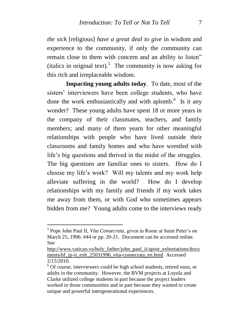*the sick* [religious] *have a great deal to give* in wisdom and experience to the community, if only the community can remain close to them with concern and an ability to listen" (italics in original text).<sup>5</sup> The community is now asking for this rich and irreplaceable wisdom.

**Impacting young adults today***.* To date, most of the sisters' interviewers have been college students, who have done the work enthusiastically and with aplomb.<sup>6</sup> Is it any wonder? These young adults have spent 18 or more years in the company of their classmates, teachers, and family members; and many of them yearn for other meaningful relationships with people who have lived outside their classrooms and family homes and who have wrestled with life's big questions and thrived in the midst of the struggles. The big questions are familiar ones to sisters. How do I choose my life"s work? Will my talents and my work help alleviate suffering in the world? How do I develop relationships with my family and friends if my work takes me away from them, or with God who sometimes appears hidden from me? Young adults come to the interviews ready

 5 Pope John Paul II, *Vita Consecrata*, given in Rome at Saint Peter"s on March 25, 1996: #44 or pp. 20-21. Document can be accessed online. See

[http://www.vatican.va/holy\\_father/john\\_paul\\_ii/apost\\_exhortations/docu](http://www.vatican.va/holy_father/john_paul_ii/apost_exhortations/documents/hf_jp-ii_exh_25031996_vita-consecrata_en.html) [ments/hf\\_jp-ii\\_exh\\_25031996\\_vita-consecrata\\_en.html](http://www.vatican.va/holy_father/john_paul_ii/apost_exhortations/documents/hf_jp-ii_exh_25031996_vita-consecrata_en.html) Accessed 2/15/2010.

<sup>&</sup>lt;sup>6</sup> Of course, interviewers could be high school students, retired nuns, or adults in the community. However, the BVM projects at Loyola and Clarke utilized college students in part because the project leaders worked in those communities and in part because they wanted to create unique and powerful intergenerational experiences.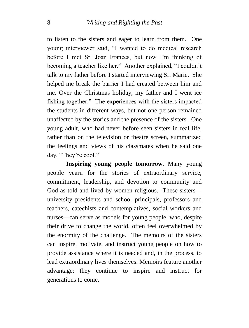to listen to the sisters and eager to learn from them. One young interviewer said, "I wanted to do medical research before I met Sr. Joan Frances, but now I"m thinking of becoming a teacher like her." Another explained, "I couldn"t talk to my father before I started interviewing Sr. Marie. She helped me break the barrier I had created between him and me. Over the Christmas holiday, my father and I went ice fishing together." The experiences with the sisters impacted the students in different ways, but not one person remained unaffected by the stories and the presence of the sisters. One young adult, who had never before seen sisters in real life, rather than on the television or theatre screen, summarized the feelings and views of his classmates when he said one day, "They"re cool."

**Inspiring young people tomorrow***.* Many young people yearn for the stories of extraordinary service, commitment, leadership, and devotion to community and God as told and lived by women religious. These sisters university presidents and school principals, professors and teachers, catechists and contemplatives, social workers and nurses—can serve as models for young people, who, despite their drive to change the world, often feel overwhelmed by the enormity of the challenge. The memoirs of the sisters can inspire, motivate, and instruct young people on how to provide assistance where it is needed and, in the process, to lead extraordinary lives themselves. Memoirs feature another advantage: they continue to inspire and instruct for generations to come.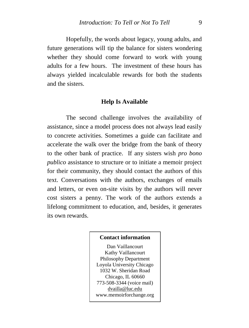Hopefully, the words about legacy, young adults, and future generations will tip the balance for sisters wondering whether they should come forward to work with young adults for a few hours. The investment of these hours has always yielded incalculable rewards for both the students and the sisters.

#### **Help Is Available**

The second challenge involves the availability of assistance, since a model process does not always lead easily to concrete activities. Sometimes a guide can facilitate and accelerate the walk over the bridge from the bank of theory to the other bank of practice. If any sisters wish *pro bono publico* assistance to structure or to initiate a memoir project for their community, they should contact the authors of this text. Conversations with the authors, exchanges of emails and letters, or even on-site visits by the authors will never cost sisters a penny. The work of the authors extends a lifelong commitment to education, and, besides, it generates its own rewards.

#### **Contact information**

Dan Vaillancourt Kathy Vaillancourt Philosophy Department Loyola University Chicago 1032 W. Sheridan Road Chicago, IL 60660 773-508-3344 (voice mail) [dvailla@luc.edu](mailto:dvailla@luc.edu) www.memoirforchange.org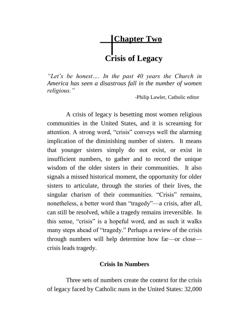# **Chapter Two Crisis of Legacy**

*"Let's be honest…. In the past 40 years the Church in America has seen a disastrous fall in the number of women religious."*

-Philip Lawler, Catholic editor

A crisis of legacy is besetting most women religious communities in the United States, and it is screaming for attention. A strong word, "crisis" conveys well the alarming implication of the diminishing number of sisters. It means that younger sisters simply do not exist, or exist in insufficient numbers, to gather and to record the unique wisdom of the older sisters in their communities. It also signals a missed historical moment, the opportunity for older sisters to articulate, through the stories of their lives, the singular charism of their communities. "Crisis" remains, nonetheless, a better word than "tragedy"—a crisis, after all, can still be resolved, while a tragedy remains irreversible. In this sense, "crisis" is a hopeful word, and as such it walks many steps ahead of "tragedy." Perhaps a review of the crisis through numbers will help determine how far—or close crisis leads tragedy.

#### **Crisis In Numbers**

Three sets of numbers create the context for the crisis of legacy faced by Catholic nuns in the United States: 32,000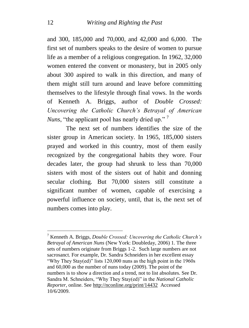and 300, 185,000 and 70,000, and 42,000 and 6,000. The first set of numbers speaks to the desire of women to pursue life as a member of a religious congregation. In 1962, 32,000 women entered the convent or monastery, but in 2005 only about 300 aspired to walk in this direction, and many of them might still turn around and leave before committing themselves to the lifestyle through final vows. In the words of Kenneth A. Briggs, author of *Double Crossed: Uncovering the Catholic Church's Betrayal of American Nuns*, "the applicant pool has nearly dried up."<sup>7</sup>

The next set of numbers identifies the size of the sister group in American society. In 1965, 185,000 sisters prayed and worked in this country, most of them easily recognized by the congregational habits they wore. Four decades later, the group had shrunk to less than 70,000 sisters with most of the sisters out of habit and donning secular clothing. But 70,000 sisters still constitute a significant number of women, capable of exercising a powerful influence on society, until, that is, the next set of numbers comes into play.

<sup>7</sup> Kenneth A. Briggs, *Double Crossed: Uncovering the Catholic Church's Betrayal of American Nuns* (New York: Doubleday, 2006) 1. The three sets of numbers originate from Briggs 1-2. Such large numbers are not sacrosanct. For example, Dr. Sandra Schneiders in her excellent essay "Why They Stay(ed)" lists 120,000 nuns as the high point in the 1960s and 60,000 as the number of nuns today (2009). The point of the numbers is to show a direction and a trend, not to list absolutes. See Dr. Sandra M. Schneiders, "Why They Stay(ed)" in the *National Catholic Reporter*, online. See<http://nconline.org/print/14432>Accessed 10/6/2009.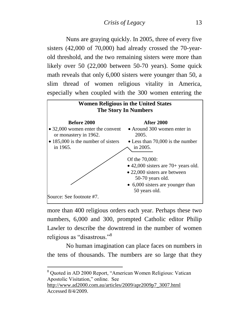Nuns are graying quickly. In 2005, three of every five sisters (42,000 of 70,000) had already crossed the 70-yearold threshold, and the two remaining sisters were more than likely over 50 (22,000 between 50-70 years). Some quick math reveals that only 6,000 sisters were younger than 50, a slim thread of women religious vitality in America, especially when coupled with the 300 women entering the



more than 400 religious orders each year. Perhaps these two numbers, 6,000 and 300, prompted Catholic editor Philip Lawler to describe the downtrend in the number of women religious as "disastrous."<sup>8</sup>

No human imagination can place faces on numbers in the tens of thousands. The numbers are so large that they

<sup>8</sup> Quoted in AD 2000 Report, "American Women Religious: Vatican Apostolic Visitation," online. See

[http://www.ad2000.com.au/articles/2009/apr2009p7\\_3007.html](http://www.ad2000.com.au/articles/2009/apr2009p7_3007.html)  Accessed 8/4/2009.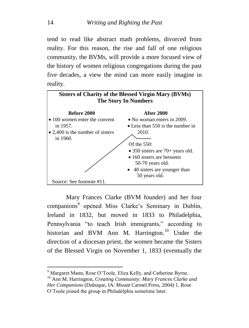tend to read like abstract math problems, divorced from reality. For this reason, the rise and fall of one religious community, the BVMs, will provide a more focused view of the history of women religious congregations during the past five decades, a view the mind can more easily imagine in reality.



Mary Frances Clarke (BVM founder) and her four companions<sup>9</sup> opened Miss Clarke's Seminary in Dublin, Ireland in 1832, but moved in 1833 to Philadelphia, Pennsylvania "to teach Irish immigrants," according to historian and BVM Ann M. Harrington.<sup>10</sup> Under the direction of a diocesan priest, the women became the Sisters of the Blessed Virgin on November 1, 1833 (eventually the

<sup>&</sup>lt;sup>9</sup> Margaret Mann, Rose O'Toole, Eliza Kelly, and Catherine Byrne.

<sup>10</sup> Ann M. Harrington, *Creating Community: Mary Frances Clarke and Her Companions* (Dubuque, IA: Mount Carmel Press, 2004) 1. Rose O"Toole joined the group in Philadelphia sometime later.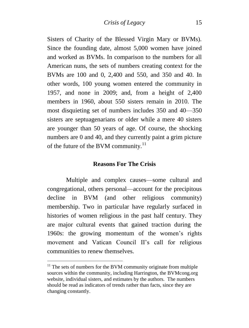Sisters of Charity of the Blessed Virgin Mary or BVMs). Since the founding date, almost 5,000 women have joined and worked as BVMs. In comparison to the numbers for all American nuns, the sets of numbers creating context for the BVMs are 100 and 0, 2,400 and 550, and 350 and 40. In other words, 100 young women entered the community in 1957, and none in 2009; and, from a height of 2,400 members in 1960, about 550 sisters remain in 2010. The most disquieting set of numbers includes 350 and 40—350 sisters are septuagenarians or older while a mere 40 sisters are younger than 50 years of age. Of course, the shocking numbers are 0 and 40, and they currently paint a grim picture of the future of the BVM community.<sup>11</sup>

#### **Reasons For The Crisis**

Multiple and complex causes—some cultural and congregational, others personal—account for the precipitous decline in BVM (and other religious community) membership. Two in particular have regularly surfaced in histories of women religious in the past half century. They are major cultural events that gained traction during the 1960s: the growing momentum of the women"s rights movement and Vatican Council II"s call for religious communities to renew themselves.

1

 $11$ <sup>11</sup> The sets of numbers for the BVM community originate from multiple sources within the community, including Harrington, the BVMcong.org website, individual sisters, and estimates by the authors. The numbers should be read as indicators of trends rather than facts, since they are changing constantly.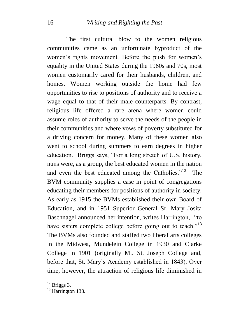The first cultural blow to the women religious communities came as an unfortunate byproduct of the women's rights movement. Before the push for women's equality in the United States during the 1960s and 70s, most women customarily cared for their husbands, children, and homes. Women working outside the home had few opportunities to rise to positions of authority and to receive a wage equal to that of their male counterparts. By contrast, religious life offered a rare arena where women could assume roles of authority to serve the needs of the people in their communities and where vows of poverty substituted for a driving concern for money. Many of these women also went to school during summers to earn degrees in higher education. Briggs says, "For a long stretch of U.S. history, nuns were, as a group, the best educated women in the nation and even the best educated among the Catholics."<sup>12</sup> The BVM community supplies a case in point of congregations educating their members for positions of authority in society. As early as 1915 the BVMs established their own Board of Education, and in 1951 Superior General Sr. Mary Josita Baschnagel announced her intention, writes Harrington, "to have sisters complete college before going out to teach."<sup>13</sup> The BVMs also founded and staffed two liberal arts colleges in the Midwest, Mundelein College in 1930 and Clarke College in 1901 (originally Mt. St. Joseph College and, before that, St. Mary"s Academy established in 1843). Over time, however, the attraction of religious life diminished in

 $12$  Briggs 3.

<sup>&</sup>lt;sup>13</sup> Harrington 138.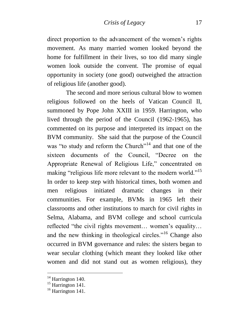direct proportion to the advancement of the women"s rights movement. As many married women looked beyond the home for fulfillment in their lives, so too did many single women look outside the convent. The promise of equal opportunity in society (one good) outweighed the attraction of religious life (another good).

The second and more serious cultural blow to women religious followed on the heels of Vatican Council II, summoned by Pope John XXIII in 1959. Harrington, who lived through the period of the Council (1962-1965), has commented on its purpose and interpreted its impact on the BVM community. She said that the purpose of the Council was "to study and reform the Church"<sup>14</sup> and that one of the sixteen documents of the Council, "Decree on the Appropriate Renewal of Religious Life," concentrated on making "religious life more relevant to the modern world."<sup>15</sup> In order to keep step with historical times, both women and men religious initiated dramatic changes in their communities. For example, BVMs in 1965 left their classrooms and other institutions to march for civil rights in Selma, Alabama, and BVM college and school curricula reflected "the civil rights movement... women's equality... and the new thinking in theological circles."<sup>16</sup> Change also occurred in BVM governance and rules: the sisters began to wear secular clothing (which meant they looked like other women and did not stand out as women religious), they

 $14$  Harrington 140.

<sup>&</sup>lt;sup>15</sup> Harrington 141.

 $16$  Harrington 141.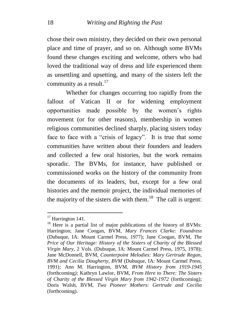chose their own ministry, they decided on their own personal place and time of prayer, and so on. Although some BVMs found these changes exciting and welcome, others who had loved the traditional way of dress and life experienced them as unsettling and upsetting, and many of the sisters left the community as a result. $17$ 

Whether for changes occurring too rapidly from the fallout of Vatican II or for widening employment opportunities made possible by the women"s rights movement (or for other reasons), membership in women religious communities declined sharply, placing sisters today face to face with a "crisis of legacy". It is true that some communities have written about their founders and leaders and collected a few oral histories, but the work remains sporadic. The BVMs, for instance, have published or commissioned works on the history of the community from the documents of its leaders, but, except for a few oral histories and the memoir project, the individual memories of the majority of the sisters die with them. $^{18}$  The call is urgent:

<sup>&</sup>lt;sup>17</sup> Harrington 141.

<sup>&</sup>lt;sup>18</sup> Here is a partial list of major publications of the history of BVMs: Harrington; Jane Coogan, BVM, *Mary Frances Clarke: Foundress* (Dubuque, IA: Mount Carmel Press, 1977); Jane Coogan, BVM, *The Price of Our Heritage: History of the Sisters of Charity of the Blessed Virgin Mary*, 2 Vols. (Dubuque, IA: Mount Carmel Press, 1975, 1978); Jane McDonnell, BVM, *Counterpoint Melodies: Mary Gertrude Regan, BVM and Cecilia Dougherty, BVM* (Dubuque, IA: Mount Carmel Press, 1991)*;* Ann M. Harrington, BVM, *BVM History from 1919-1945*  (forthcoming*);* Kathryn Lawlor, BVM, *From Here to There: The Sisters of Charity of the Blessed Virgin Mary from 1942-1972* (forthcoming); Doris Walsh, BVM, *Two Pioneer Mothers: Gertrude and Cecilia*  (forthcoming).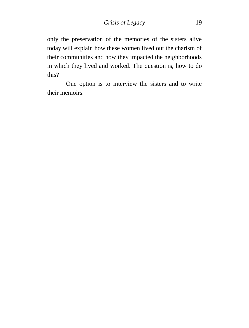only the preservation of the memories of the sisters alive today will explain how these women lived out the charism of their communities and how they impacted the neighborhoods in which they lived and worked. The question is, how to do this?

One option is to interview the sisters and to write their memoirs.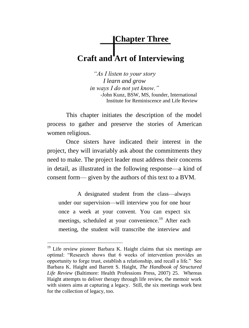## **Chapter Three Craft and Art of Interviewing**

*"As I listen to your story I learn and grow in ways I do not yet know."* -John Kunz, BSW, MS, founder, International Institute for Reminiscence and Life Review

This chapter initiates the description of the model process to gather and preserve the stories of American women religious.

Once sisters have indicated their interest in the project, they will invariably ask about the commitments they need to make. The project leader must address their concerns in detail, as illustrated in the following response—a kind of consent form— given by the authors of this text to a BVM.

A designated student from the class—always under our supervision—will interview you for one hour once a week at your convent. You can expect six meetings, scheduled at your convenience.<sup>19</sup> After each meeting, the student will transcribe the interview and

 $19$  Life review pioneer Barbara K. Haight claims that six meetings are optimal: "Research shows that 6 weeks of intervention provides an opportunity to forge trust, establish a relationship, and recall a life." See Barbara K. Haight and Barrett S. Haight, *The Handbook of Structured Life Review* (Baltimore: Health Professions Press, 2007) 25. Whereas Haight attempts to deliver therapy through life review, the memoir work with sisters aims at capturing a legacy. Still, the six meetings work best for the collection of legacy, too.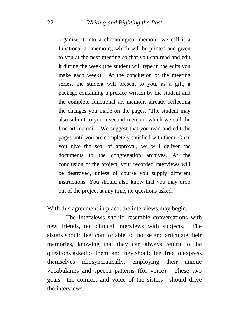organize it into a chronological memoir (we call it a functional art memoir), which will be printed and given to you at the next meeting so that you can read and edit it during the week (the student will type in the edits you make each week). At the conclusion of the meeting series, the student will present to you, as a gift, a package containing a preface written by the student and the complete functional art memoir, already reflecting the changes you made on the pages. (The student may also submit to you a second memoir, which we call the fine art memoir.) We suggest that you read and edit the pages until you are completely satisfied with them. Once you give the seal of approval, we will deliver the documents to the congregation archives. At the conclusion of the project, your recorded interviews will be destroyed, unless of course you supply different instructions. You should also know that you may drop out of the project at any time, no questions asked.

With this agreement in place, the interviews may begin.

The interviews should resemble conversations with new friends, not clinical interviews with subjects. The sisters should feel comfortable to choose and articulate their memories, knowing that they can always return to the questions asked of them, and they should feel free to express themselves idiosyncratically, employing their unique vocabularies and speech patterns (for voice). These two goals—the comfort and voice of the sisters—should drive the interviews.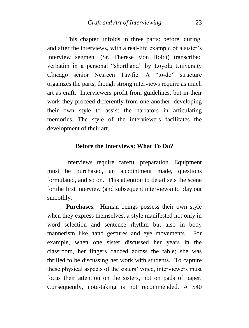This chapter unfolds in three parts: before, during, and after the interviews, with a real-life example of a sister's interview segment (Sr. Therese Von Holdt) transcribed verbatim in a personal "shorthand" by Loyola University Chicago senior Nesreen Tawfic. A "to-do" structure organizes the parts, though strong interviews require as much art as craft. Interviewers profit from guidelines, but in their work they proceed differently from one another, developing their own style to assist the narrators in articulating memories. The style of the interviewers facilitates the development of their art.

#### **Before the Interviews: What To Do?**

Interviews require careful preparation. Equipment must be purchased, an appointment made, questions formulated, and so on. This attention to detail sets the scene for the first interview (and subsequent interviews) to play out smoothly.

**Purchases.** Human beings possess their own style when they express themselves, a style manifested not only in word selection and sentence rhythm but also in body mannerism like hand gestures and eye movements. For example, when one sister discussed her years in the classroom, her fingers danced across the table; she was thrilled to be discussing her work with students. To capture these physical aspects of the sisters" voice, interviewers must focus their attention on the sisters, not on pads of paper. Consequently, note-taking is not recommended. A \$40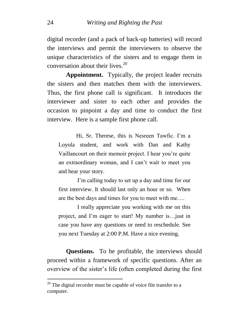digital recorder (and a pack of back-up batteries) will record the interviews and permit the interviewers to observe the unique characteristics of the sisters and to engage them in conversation about their lives.<sup>20</sup>

**Appointment.** Typically, the project leader recruits the sisters and then matches them with the interviewers. Thus, the first phone call is significant. It introduces the interviewer and sister to each other and provides the occasion to pinpoint a day and time to conduct the first interview. Here is a sample first phone call.

Hi, Sr. Therese, this is Nesreen Tawfic. I'm a Loyola student, and work with Dan and Kathy Vaillancourt on their memoir project. I hear you"re quite an extraordinary woman, and I can"t wait to meet you and hear your story.

I"m calling today to set up a day and time for our first interview. It should last only an hour or so. When are the best days and times for you to meet with me….

I really appreciate you working with me on this project, and I"m eager to start! My number is…just in case you have any questions or need to reschedule. See you next Tuesday at 2:00 P.M. Have a nice evening.

**Questions.** To be profitable, the interviews should proceed within a framework of specific questions. After an overview of the sister"s life (often completed during the first

 $20$  The digital recorder must be capable of voice file transfer to a computer.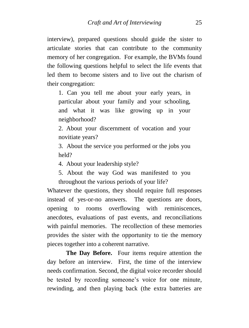interview), prepared questions should guide the sister to articulate stories that can contribute to the community memory of her congregation. For example, the BVMs found the following questions helpful to select the life events that led them to become sisters and to live out the charism of their congregation:

1. Can you tell me about your early years, in particular about your family and your schooling, and what it was like growing up in your neighborhood?

2. About your discernment of vocation and your novitiate years?

3. About the service you performed or the jobs you held?

4. About your leadership style?

5. About the way God was manifested to you throughout the various periods of your life?

Whatever the questions, they should require full responses instead of yes-or-no answers. The questions are doors, opening to rooms overflowing with reminiscences, anecdotes, evaluations of past events, and reconciliations with painful memories. The recollection of these memories provides the sister with the opportunity to tie the memory pieces together into a coherent narrative.

**The Day Before.** Four items require attention the day before an interview. First, the time of the interview needs confirmation. Second, the digital voice recorder should be tested by recording someone's voice for one minute, rewinding, and then playing back (the extra batteries are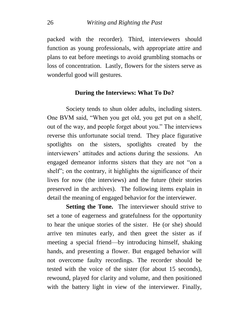packed with the recorder). Third, interviewers should function as young professionals, with appropriate attire and plans to eat before meetings to avoid grumbling stomachs or loss of concentration. Lastly, flowers for the sisters serve as wonderful good will gestures.

#### **During the Interviews: What To Do?**

Society tends to shun older adults, including sisters. One BVM said, "When you get old, you get put on a shelf, out of the way, and people forget about you." The interviews reverse this unfortunate social trend. They place figurative spotlights on the sisters, spotlights created by the interviewers' attitudes and actions during the sessions. An engaged demeanor informs sisters that they are not "on a shelf"; on the contrary, it highlights the significance of their lives for now (the interviews) and the future (their stories preserved in the archives). The following items explain in detail the meaning of engaged behavior for the interviewer.

**Setting the Tone.** The interviewer should strive to set a tone of eagerness and gratefulness for the opportunity to hear the unique stories of the sister. He (or she) should arrive ten minutes early, and then greet the sister as if meeting a special friend—by introducing himself, shaking hands, and presenting a flower. But engaged behavior will not overcome faulty recordings. The recorder should be tested with the voice of the sister (for about 15 seconds), rewound, played for clarity and volume, and then positioned with the battery light in view of the interviewer. Finally,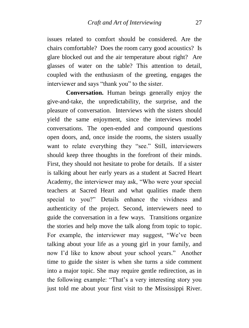issues related to comfort should be considered. Are the chairs comfortable? Does the room carry good acoustics? Is glare blocked out and the air temperature about right? Are glasses of water on the table? This attention to detail, coupled with the enthusiasm of the greeting, engages the interviewer and says "thank you" to the sister.

**Conversation.** Human beings generally enjoy the give-and-take, the unpredictability, the surprise, and the pleasure of conversation. Interviews with the sisters should yield the same enjoyment, since the interviews model conversations. The open-ended and compound questions open doors, and, once inside the rooms, the sisters usually want to relate everything they "see." Still, interviewers should keep three thoughts in the forefront of their minds. First, they should not hesitate to probe for details. If a sister is talking about her early years as a student at Sacred Heart Academy, the interviewer may ask, "Who were your special teachers at Sacred Heart and what qualities made them special to you?" Details enhance the vividness and authenticity of the project. Second, interviewers need to guide the conversation in a few ways. Transitions organize the stories and help move the talk along from topic to topic. For example, the interviewer may suggest, "We"ve been talking about your life as a young girl in your family, and now I'd like to know about your school years." Another time to guide the sister is when she turns a side comment into a major topic. She may require gentle redirection, as in the following example: "That"s a very interesting story you just told me about your first visit to the Mississippi River.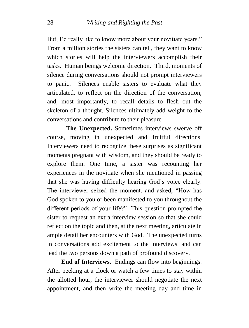But, I'd really like to know more about your novitiate years." From a million stories the sisters can tell, they want to know which stories will help the interviewers accomplish their tasks. Human beings welcome direction. Third, moments of silence during conversations should not prompt interviewers to panic. Silences enable sisters to evaluate what they articulated, to reflect on the direction of the conversation, and, most importantly, to recall details to flesh out the skeleton of a thought. Silences ultimately add weight to the conversations and contribute to their pleasure.

**The Unexpected.** Sometimes interviews swerve off course, moving in unexpected and fruitful directions. Interviewers need to recognize these surprises as significant moments pregnant with wisdom, and they should be ready to explore them. One time, a sister was recounting her experiences in the novitiate when she mentioned in passing that she was having difficulty hearing God"s voice clearly. The interviewer seized the moment, and asked, "How has God spoken to you or been manifested to you throughout the different periods of your life?" This question prompted the sister to request an extra interview session so that she could reflect on the topic and then, at the next meeting, articulate in ample detail her encounters with God. The unexpected turns in conversations add excitement to the interviews, and can lead the two persons down a path of profound discovery.

 **End of Interviews.** Endings can flow into beginnings. After peeking at a clock or watch a few times to stay within the allotted hour, the interviewer should negotiate the next appointment, and then write the meeting day and time in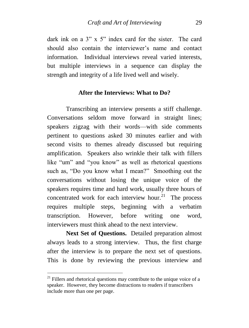dark ink on a 3" x 5" index card for the sister. The card should also contain the interviewer's name and contact information. Individual interviews reveal varied interests, but multiple interviews in a sequence can display the strength and integrity of a life lived well and wisely.

#### **After the Interviews: What to Do?**

Transcribing an interview presents a stiff challenge. Conversations seldom move forward in straight lines; speakers zigzag with their words—with side comments pertinent to questions asked 30 minutes earlier and with second visits to themes already discussed but requiring amplification. Speakers also wrinkle their talk with fillers like "um" and "you know" as well as rhetorical questions such as, "Do you know what I mean?" Smoothing out the conversations without losing the unique voice of the speakers requires time and hard work, usually three hours of concentrated work for each interview hour. $21$  The process requires multiple steps, beginning with a verbatim transcription. However, before writing one word, interviewers must think ahead to the next interview.

**Next Set of Questions.** Detailed preparation almost always leads to a strong interview. Thus, the first charge after the interview is to prepare the next set of questions. This is done by reviewing the previous interview and

 $21$  Fillers and rhetorical questions may contribute to the unique voice of a speaker. However, they become distractions to readers if transcribers include more than one per page.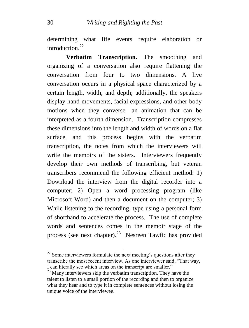determining what life events require elaboration or introduction $22$ 

**Verbatim Transcription.** The smoothing and organizing of a conversation also require flattening the conversation from four to two dimensions. A live conversation occurs in a physical space characterized by a certain length, width, and depth; additionally, the speakers display hand movements, facial expressions, and other body motions when they converse—an animation that can be interpreted as a fourth dimension. Transcription compresses these dimensions into the length and width of words on a flat surface, and this process begins with the verbatim transcription, the notes from which the interviewers will write the memoirs of the sisters. Interviewers frequently develop their own methods of transcribing, but veteran transcribers recommend the following efficient method: 1) Download the interview from the digital recorder into a computer; 2) Open a word processing program (like Microsoft Word) and then a document on the computer; 3) While listening to the recording, type using a personal form of shorthand to accelerate the process. The use of complete words and sentences comes in the memoir stage of the process (see next chapter).<sup>23</sup> Nesreen Tawfic has provided

 $22$  Some interviewers formulate the next meeting's questions after they transcribe the most recent interview. As one interviewer said, "That way, I can literally see which areas on the transcript are smaller."

<sup>&</sup>lt;sup>23</sup> Many interviewers skip the verbatim transcription. They have the talent to listen to a small portion of the recording and then to organize what they hear and to type it in complete sentences without losing the unique voice of the interviewee.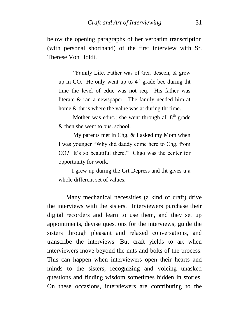below the opening paragraphs of her verbatim transcription (with personal shorthand) of the first interview with Sr. Therese Von Holdt.

 "Family Life. Father was of Ger. descen, & grew up in CO. He only went up to  $4<sup>th</sup>$  grade bec during tht time the level of educ was not req. His father was literate & ran a newspaper. The family needed him at home & tht is where the value was at during tht time.

Mother was educ.; she went through all  $8<sup>th</sup>$  grade & then she went to bus. school.

 My parents met in Chg. & I asked my Mom when I was younger "Why did daddy come here to Chg. from CO? It's so beautiful there." Chgo was the center for opportunity for work.

 I grew up during the Grt Depress and tht gives u a whole different set of values.

Many mechanical necessities (a kind of craft) drive the interviews with the sisters. Interviewers purchase their digital recorders and learn to use them, and they set up appointments, devise questions for the interviews, guide the sisters through pleasant and relaxed conversations, and transcribe the interviews. But craft yields to art when interviewers move beyond the nuts and bolts of the process. This can happen when interviewers open their hearts and minds to the sisters, recognizing and voicing unasked questions and finding wisdom sometimes hidden in stories. On these occasions, interviewers are contributing to the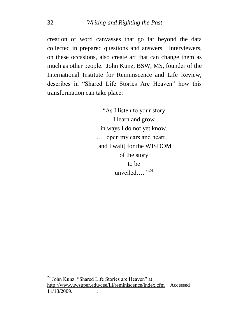creation of word canvasses that go far beyond the data collected in prepared questions and answers. Interviewers, on these occasions, also create art that can change them as much as other people. John Kunz, BSW, MS, founder of the International Institute for Reminiscence and Life Review, describes in "Shared Life Stories Are Heaven" how this transformation can take place:

> "As I listen to your story I learn and grow in ways I do not yet know. …I open my ears and heart… [and I wait] for the WISDOM of the story to be unveiled....<sup>"24</sup>

<sup>&</sup>lt;sup>24</sup> John Kunz, "Shared Life Stories are Heaven" at <http://www.uwsuper.edu/cee/lll/reminiscence/index.cfm>Accessed 11/18/2009. .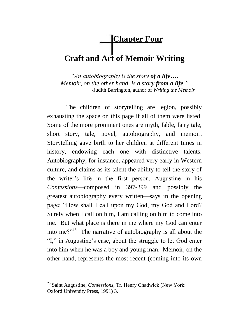## **Chapter Four**

## **Craft and Art of Memoir Writing**

*"An autobiography is the story of a life***….** *Memoir, on the other hand, is a story from a life."* -Judith Barrington, author of *Writing the Memoir*

The children of storytelling are legion, possibly exhausting the space on this page if all of them were listed. Some of the more prominent ones are myth, fable, fairy tale, short story, tale, novel, autobiography, and memoir. Storytelling gave birth to her children at different times in history, endowing each one with distinctive talents. Autobiography, for instance, appeared very early in Western culture, and claims as its talent the ability to tell the story of the writer"s life in the first person. Augustine in his *Confessions*—composed in 397-399 and possibly the greatest autobiography every written—says in the opening page: "How shall I call upon my God, my God and Lord? Surely when I call on him, I am calling on him to come into me. But what place is there in me where my God can enter into me?"<sup>25</sup> The narrative of autobiography is all about the "I," in Augustine's case, about the struggle to let God enter into him when he was a boy and young man. Memoir, on the other hand, represents the most recent (coming into its own

<sup>25</sup> Saint Augustine, *Confessions*, Tr. Henry Chadwick (New York: Oxford University Press, 1991) 3.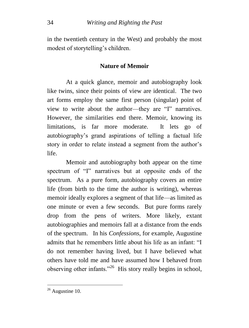in the twentieth century in the West) and probably the most modest of storytelling"s children.

### **Nature of Memoir**

At a quick glance, memoir and autobiography look like twins, since their points of view are identical. The two art forms employ the same first person (singular) point of view to write about the author—they are "I" narratives. However, the similarities end there. Memoir, knowing its limitations, is far more moderate. It lets go of autobiography"s grand aspirations of telling a factual life story in order to relate instead a segment from the author's life.

Memoir and autobiography both appear on the time spectrum of "I" narratives but at opposite ends of the spectrum. As a pure form, autobiography covers an entire life (from birth to the time the author is writing), whereas memoir ideally explores a segment of that life—as limited as one minute or even a few seconds. But pure forms rarely drop from the pens of writers. More likely, extant autobiographies and memoirs fall at a distance from the ends of the spectrum. In his *Confessions*, for example, Augustine admits that he remembers little about his life as an infant: "I do not remember having lived, but I have believed what others have told me and have assumed how I behaved from observing other infants."<sup>26</sup> His story really begins in school,

 $26$  Augustine 10.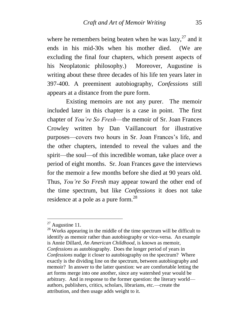where he remembers being beaten when he was lazy,  $27$  and it ends in his mid-30s when his mother died. (We are excluding the final four chapters, which present aspects of his Neoplatonic philosophy.) Moreover, Augustine is writing about these three decades of his life ten years later in 397-400. A preeminent autobiography, *Confessions* still appears at a distance from the pure form.

Existing memoirs are not any purer. The memoir included later in this chapter is a case in point. The first chapter of *You're So Fresh*—the memoir of Sr. Joan Frances Crowley written by Dan Vaillancourt for illustrative purposes—covers two hours in Sr. Joan Frances"s life, and the other chapters, intended to reveal the values and the spirit—the soul—of this incredible woman, take place over a period of eight months. Sr. Joan Frances gave the interviews for the memoir a few months before she died at 90 years old. Thus, *You're So Fresh* may appear toward the other end of the time spectrum, but like *Confessions* it does not take residence at a pole as a pure form.<sup>28</sup>

1

 $27$  Augustine 11.

 $28$  Works appearing in the middle of the time spectrum will be difficult to identify as memoir rather than autobiography or vice-versa. An example is Annie Dillard, *An American Childhood*, is known as memoir, *Confessions* as autobiography. Does the longer period of years in *Confessions* nudge it closer to autobiography on the spectrum? Where exactly is the dividing line on the spectrum, between autobiography and memoir? In answer to the latter question: we are comfortable letting the art forms merge into one another, since any watershed year would be arbitrary. And in response to the former question: the literary world authors, publishers, critics, scholars, librarians, etc.—create the attribution, and then usage adds weight to it.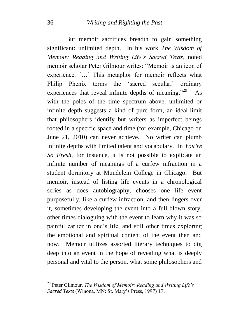But memoir sacrifices breadth to gain something significant: unlimited depth. In his work *The Wisdom of Memoir: Reading and Writing Life's Sacred Texts*, noted memoir scholar Peter Gilmour writes: "Memoir is an icon of experience. […] This metaphor for memoir reflects what Philip Phenix terms the 'sacred secular,' ordinary experiences that reveal infinite depths of meaning."<sup>29</sup> As with the poles of the time spectrum above, unlimited or infinite depth suggests a kind of pure form, an ideal-limit that philosophers identify but writers as imperfect beings rooted in a specific space and time (for example, Chicago on June 21, 2010) can never achieve. No writer can plumb infinite depths with limited talent and vocabulary. In *You're So Fresh*, for instance, it is not possible to explicate an infinite number of meanings of a curfew infraction in a student dormitory at Mundelein College in Chicago. But memoir, instead of listing life events in a chronological series as does autobiography, chooses one life event purposefully, like a curfew infraction, and then lingers over it, sometimes developing the event into a full-blown story, other times dialoguing with the event to learn why it was so painful earlier in one"s life, and still other times exploring the emotional and spiritual content of the event then and now. Memoir utilizes assorted literary techniques to dig deep into an event in the hope of revealing what is deeply personal and vital to the person, what some philosophers and

<sup>29</sup> Peter Gilmour, *The Wisdom of Memoir: Reading and Writing Life's Sacred Texts* (Winona, MN: St. Mary"s Press, 1997) 17.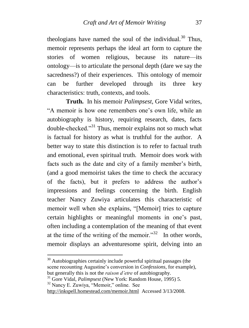theologians have named the soul of the individual. $30$  Thus, memoir represents perhaps the ideal art form to capture the stories of women religious, because its nature—its ontology—is to articulate the personal depth (dare we say the sacredness?) of their experiences. This ontology of memoir can be further developed through its three key characteristics: truth, contexts, and tools.

**Truth.** In his memoir *Palimpsest*, Gore Vidal writes, "A memoir is how one remembers one"s own life, while an autobiography is history, requiring research, dates, facts double-checked."<sup>31</sup> Thus, memoir explains not so much what is factual for history as what is truthful for the author. A better way to state this distinction is to refer to factual truth and emotional, even spiritual truth. Memoir does work with facts such as the date and city of a family member's birth, (and a good memoirist takes the time to check the accuracy of the facts), but it prefers to address the author"s impressions and feelings concerning the birth. English teacher Nancy Zuwiya articulates this characteristic of memoir well when she explains, "[Memoir] tries to capture certain highlights or meaningful moments in one"s past, often including a contemplation of the meaning of that event at the time of the writing of the memoir." $32$  In other words, memoir displays an adventuresome spirit, delving into an

 $30$  Autobiographies certainly include powerful spiritual passages (the scene recounting Augustine"s conversion in *Confessions*, for example), but generally this is not the *raison d'etre* of autobiography.

<sup>32</sup> Nancy E. Zuwiya, "Memoir," online. See

1

<http://inkspell.homestead.com/memoir.html>Accessed 3/13/2008.

<sup>31</sup> Gore Vidal, *Palimpsest* (New York: Random House, 1995) 5.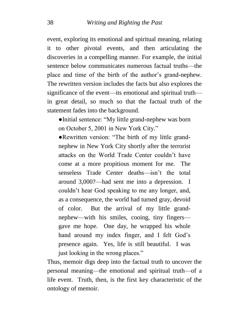event, exploring its emotional and spiritual meaning, relating it to other pivotal events, and then articulating the discoveries in a compelling manner. For example, the initial sentence below communicates numerous factual truths—the place and time of the birth of the author"s grand-nephew. The rewritten version includes the facts but also explores the significance of the event—its emotional and spiritual truth in great detail, so much so that the factual truth of the statement fades into the background.

●Initial sentence: "My little grand-nephew was born on October 5, 2001 in New York City."

●Rewritten version: "The birth of my little grandnephew in New York City shortly after the terrorist attacks on the World Trade Center couldn"t have come at a more propitious moment for me. The senseless Trade Center deaths—isn"t the total around 3,000?—had sent me into a depression. I couldn"t hear God speaking to me any longer, and, as a consequence, the world had turned gray, devoid of color. But the arrival of my little grandnephew—with his smiles, cooing, tiny fingers gave me hope. One day, he wrapped his whole hand around my index finger, and I felt God's presence again. Yes, life is still beautiful. I was just looking in the wrong places."

Thus, memoir digs deep into the factual truth to uncover the personal meaning—the emotional and spiritual truth—of a life event. Truth, then, is the first key characteristic of the ontology of memoir.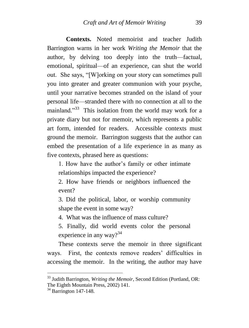**Contexts.** Noted memoirist and teacher Judith Barrington warns in her work *Writing the Memoir* that the author, by delving too deeply into the truth—factual, emotional, spiritual—of an experience, can shut the world out. She says, "[W]orking on your story can sometimes pull you into greater and greater communion with your psyche, until your narrative becomes stranded on the island of your personal life—stranded there with no connection at all to the mainland."<sup>33</sup> This isolation from the world may work for a private diary but not for memoir, which represents a public art form, intended for readers. Accessible contexts must ground the memoir. Barrington suggests that the author can embed the presentation of a life experience in as many as five contexts, phrased here as questions:

1. How have the author"s family or other intimate relationships impacted the experience?

2. How have friends or neighbors influenced the event?

3. Did the political, labor, or worship community shape the event in some way?

4. What was the influence of mass culture?

5. Finally, did world events color the personal experience in any way? $34$ 

These contexts serve the memoir in three significant ways. First, the contexts remove readers' difficulties in accessing the memoir. In the writing, the author may have

<sup>&</sup>lt;sup>33</sup> Judith Barrington, *Writing the Memoir*, Second Edition (Portland, OR: The Eighth Mountain Press, 2002) 141.

 $34$  Barrington 147-148.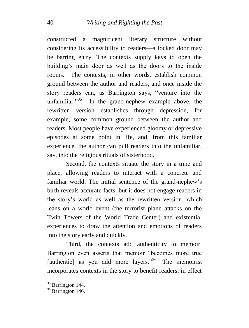constructed a magnificent literary structure without considering its accessibility to readers—a locked door may be barring entry. The contexts supply keys to open the building"s main door as well as the doors to the inside rooms. The contexts, in other words, establish common ground between the author and readers, and once inside the story readers can, as Barrington says, "venture into the unfamiliar. $1^{35}$  In the grand-nephew example above, the rewritten version establishes through depression, for example, some common ground between the author and readers. Most people have experienced gloomy or depressive episodes at some point in life, and, from this familiar experience, the author can pull readers into the unfamiliar, say, into the religious rituals of sisterhood.

Second, the contexts situate the story in a time and place, allowing readers to interact with a concrete and familiar world. The initial sentence of the grand-nephew's birth reveals accurate facts, but it does not engage readers in the story"s world as well as the rewritten version, which leans on a world event (the terrorist plane attacks on the Twin Towers of the World Trade Center) and existential experiences to draw the attention and emotions of readers into the story early and quickly.

Third, the contexts add authenticity to memoir. Barrington even asserts that memoir "becomes more true [authentic] as you add more layers."<sup>36</sup> The memoirist incorporates contexts in the story to benefit readers, in effect

 $35$  Barrington 144.

 $36$  Barrington 146.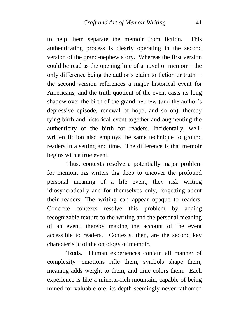to help them separate the memoir from fiction. This authenticating process is clearly operating in the second version of the grand-nephew story. Whereas the first version could be read as the opening line of a novel or memoir—the only difference being the author"s claim to fiction or truth the second version references a major historical event for Americans, and the truth quotient of the event casts its long shadow over the birth of the grand-nephew (and the author's depressive episode, renewal of hope, and so on), thereby tying birth and historical event together and augmenting the authenticity of the birth for readers. Incidentally, wellwritten fiction also employs the same technique to ground readers in a setting and time. The difference is that memoir begins with a true event.

Thus, contexts resolve a potentially major problem for memoir. As writers dig deep to uncover the profound personal meaning of a life event, they risk writing idiosyncratically and for themselves only, forgetting about their readers. The writing can appear opaque to readers. Concrete contexts resolve this problem by adding recognizable texture to the writing and the personal meaning of an event, thereby making the account of the event accessible to readers. Contexts, then, are the second key characteristic of the ontology of memoir.

**Tools.** Human experiences contain all manner of complexity—emotions rifle them, symbols shape them, meaning adds weight to them, and time colors them. Each experience is like a mineral-rich mountain, capable of being mined for valuable ore, its depth seemingly never fathomed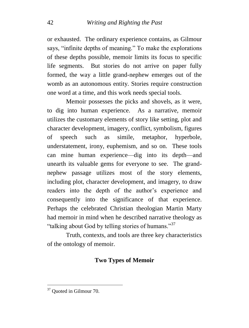or exhausted. The ordinary experience contains, as Gilmour says, "infinite depths of meaning." To make the explorations of these depths possible, memoir limits its focus to specific life segments. But stories do not arrive on paper fully formed, the way a little grand-nephew emerges out of the womb as an autonomous entity. Stories require construction one word at a time, and this work needs special tools.

Memoir possesses the picks and shovels, as it were, to dig into human experience. As a narrative, memoir utilizes the customary elements of story like setting, plot and character development, imagery, conflict, symbolism, figures of speech such as simile, metaphor, hyperbole, understatement, irony, euphemism, and so on. These tools can mine human experience—dig into its depth—and unearth its valuable gems for everyone to see. The grandnephew passage utilizes most of the story elements, including plot, character development, and imagery, to draw readers into the depth of the author"s experience and consequently into the significance of that experience. Perhaps the celebrated Christian theologian Martin Marty had memoir in mind when he described narrative theology as "talking about God by telling stories of humans."<sup>37</sup>

Truth, contexts, and tools are three key characteristics of the ontology of memoir.

### **Two Types of Memoir**

<sup>&</sup>lt;sup>37</sup> Quoted in Gilmour 70.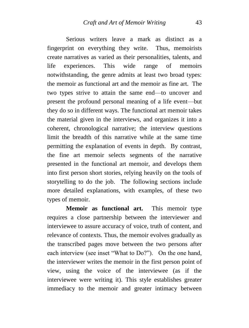Serious writers leave a mark as distinct as a fingerprint on everything they write. Thus, memoirists create narratives as varied as their personalities, talents, and life experiences. This wide range of memoirs notwithstanding, the genre admits at least two broad types: the memoir as functional art and the memoir as fine art. The two types strive to attain the same end—to uncover and present the profound personal meaning of a life event—but they do so in different ways. The functional art memoir takes the material given in the interviews, and organizes it into a coherent, chronological narrative; the interview questions limit the breadth of this narrative while at the same time permitting the explanation of events in depth. By contrast, the fine art memoir selects segments of the narrative presented in the functional art memoir, and develops them into first person short stories, relying heavily on the tools of storytelling to do the job. The following sections include more detailed explanations, with examples, of these two types of memoir.

**Memoir as functional art.** This memoir type requires a close partnership between the interviewer and interviewee to assure accuracy of voice, truth of content, and relevance of contexts. Thus, the memoir evolves gradually as the transcribed pages move between the two persons after each interview (see inset "What to Do?"). On the one hand, the interviewer writes the memoir in the first person point of view, using the voice of the interviewee (as if the interviewee were writing it). This style establishes greater immediacy to the memoir and greater intimacy between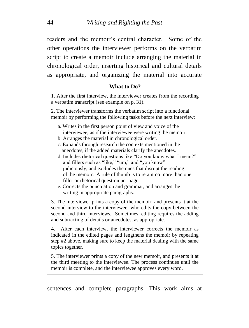readers and the memoir's central character. Some of the other operations the interviewer performs on the verbatim script to create a memoir include arranging the material in chronological order, inserting historical and cultural details as appropriate, and organizing the material into accurate

#### **What to Do?**

1. After the first interview, the interviewer creates from the recording a verbatim transcript (see example on p. 31).

2. The interviewer transforms the verbatim script into a functional memoir by performing the following tasks before the next interview:

- a. Writes in the first person point of view and voice of the interviewee, as if the interviewee were writing the memoir.
- b. Arranges the material in chronological order.
- c. Expands through research the contexts mentioned in the anecdotes, if the added materials clarify the anecdotes.
- d. Includes rhetorical questions like "Do you know what I mean?" and fillers such as "like," "um," and "you know" judiciously, and excludes the ones that disrupt the reading of the memoir. A rule of thumb is to retain no more than one filler or rhetorical question per page.
- e. Corrects the punctuation and grammar, and arranges the writing in appropriate paragraphs.

3. The interviewer prints a copy of the memoir, and presents it at the second interview to the interviewee, who edits the copy between the second and third interviews. Sometimes, editing requires the adding and subtracting of details or anecdotes, as appropriate.

4. After each interview, the interviewer corrects the memoir as indicated in the edited pages and lengthens the memoir by repeating step #2 above, making sure to keep the material dealing with the same topics together.

5. The interviewer prints a copy of the new memoir, and presents it at the third meeting to the interviewee. The process continues until the memoir is complete, and the interviewee approves every word.

sentences and complete paragraphs. This work aims at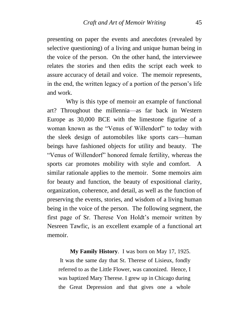presenting on paper the events and anecdotes (revealed by selective questioning) of a living and unique human being in the voice of the person. On the other hand, the interviewee relates the stories and then edits the script each week to assure accuracy of detail and voice. The memoir represents, in the end, the written legacy of a portion of the person"s life and work.

Why is this type of memoir an example of functional art? Throughout the millennia—as far back in Western Europe as 30,000 BCE with the limestone figurine of a woman known as the "Venus of Willendorf" to today with the sleek design of automobiles like sports cars—human beings have fashioned objects for utility and beauty. The "Venus of Willendorf" honored female fertility, whereas the sports car promotes mobility with style and comfort. A similar rationale applies to the memoir. Some memoirs aim for beauty and function, the beauty of expositional clarity, organization, coherence, and detail, as well as the function of preserving the events, stories, and wisdom of a living human being in the voice of the person. The following segment, the first page of Sr. Therese Von Holdt"s memoir written by Nesreen Tawfic, is an excellent example of a functional art memoir.

 **My Family History**. I was born on May 17, 1925. It was the same day that St. Therese of Lisieux, fondly referred to as the Little Flower, was canonized. Hence, I was baptized Mary Therese. I grew up in Chicago during the Great Depression and that gives one a whole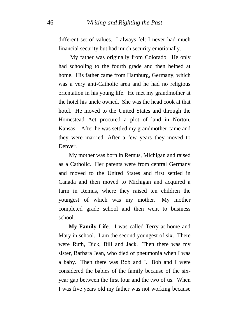different set of values. I always felt I never had much financial security but had much security emotionally.

My father was originally from Colorado. He only had schooling to the fourth grade and then helped at home. His father came from Hamburg, Germany, which was a very anti-Catholic area and he had no religious orientation in his young life. He met my grandmother at the hotel his uncle owned. She was the head cook at that hotel. He moved to the United States and through the Homestead Act procured a plot of land in Norton, Kansas. After he was settled my grandmother came and they were married. After a few years they moved to Denver.

 My mother was born in Remus, Michigan and raised as a Catholic. Her parents were from central Germany and moved to the United States and first settled in Canada and then moved to Michigan and acquired a farm in Remus, where they raised ten children the youngest of which was my mother. My mother completed grade school and then went to business school.

 **My Family Life**. I was called Terry at home and Mary in school. I am the second youngest of six. There were Ruth, Dick, Bill and Jack. Then there was my sister, Barbara Jean, who died of pneumonia when I was a baby. Then there was Bob and I. Bob and I were considered the babies of the family because of the sixyear gap between the first four and the two of us. When I was five years old my father was not working because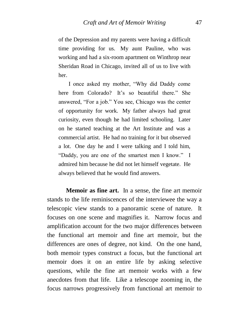of the Depression and my parents were having a difficult time providing for us. My aunt Pauline, who was working and had a six-room apartment on Winthrop near Sheridan Road in Chicago, invited all of us to live with her.

 I once asked my mother, "Why did Daddy come here from Colorado? It's so beautiful there." She answered, "For a job." You see, Chicago was the center of opportunity for work. My father always had great curiosity, even though he had limited schooling. Later on he started teaching at the Art Institute and was a commercial artist. He had no training for it but observed a lot. One day he and I were talking and I told him, "Daddy, you are one of the smartest men I know." I admired him because he did not let himself vegetate. He always believed that he would find answers.

**Memoir as fine art.** In a sense, the fine art memoir stands to the life reminiscences of the interviewee the way a telescopic view stands to a panoramic scene of nature. It focuses on one scene and magnifies it. Narrow focus and amplification account for the two major differences between the functional art memoir and fine art memoir, but the differences are ones of degree, not kind. On the one hand, both memoir types construct a focus, but the functional art memoir does it on an entire life by asking selective questions, while the fine art memoir works with a few anecdotes from that life. Like a telescope zooming in, the focus narrows progressively from functional art memoir to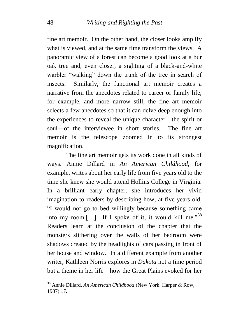fine art memoir. On the other hand, the closer looks amplify what is viewed, and at the same time transform the views. A panoramic view of a forest can become a good look at a bur oak tree and, even closer, a sighting of a black-and-white warbler "walking" down the trunk of the tree in search of insects. Similarly, the functional art memoir creates a narrative from the anecdotes related to career or family life, for example, and more narrow still, the fine art memoir selects a few anecdotes so that it can delve deep enough into the experiences to reveal the unique character—the spirit or soul—of the interviewee in short stories. The fine art memoir is the telescope zoomed in to its strongest magnification.

The fine art memoir gets its work done in all kinds of ways. Annie Dillard in *An American Childhood*, for example, writes about her early life from five years old to the time she knew she would attend Hollins College in Virginia. In a brilliant early chapter, she introduces her vivid imagination to readers by describing how, at five years old, "I would not go to bed willingly because something came into my room.[...] If I spoke of it, it would kill me."<sup>38</sup> Readers learn at the conclusion of the chapter that the monsters slithering over the walls of her bedroom were shadows created by the headlights of cars passing in front of her house and window. In a different example from another writer, Kathleen Norris explores in *Dakota* not a time period but a theme in her life—how the Great Plains evoked for her

<sup>38</sup> Annie Dillard, *An American Childhood* (New York: Harper & Row, 1987) 17.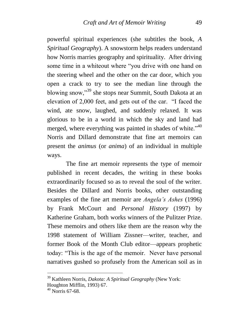powerful spiritual experiences (she subtitles the book, *A Spiritual Geography*). A snowstorm helps readers understand how Norris marries geography and spirituality. After driving some time in a whiteout where "you drive with one hand on the steering wheel and the other on the car door, which you open a crack to try to see the median line through the blowing snow,"<sup>39</sup> she stops near Summit, South Dakota at an elevation of 2,000 feet, and gets out of the car. "I faced the wind, ate snow, laughed, and suddenly relaxed. It was glorious to be in a world in which the sky and land had merged, where everything was painted in shades of white."<sup>40</sup> Norris and Dillard demonstrate that fine art memoirs can present the *animus* (or *anima*) of an individual in multiple ways.

The fine art memoir represents the type of memoir published in recent decades, the writing in these books extraordinarily focused so as to reveal the soul of the writer. Besides the Dillard and Norris books, other outstanding examples of the fine art memoir are *Angela's Ashes* (1996) by Frank McCourt and *Personal History* (1997) by Katherine Graham, both works winners of the Pulitzer Prize. These memoirs and others like them are the reason why the 1998 statement of William Zissner—writer, teacher, and former Book of the Month Club editor—appears prophetic today: "This is the age of the memoir. Never have personal narratives gushed so profusely from the American soil as in

<sup>39</sup> Kathleen Norris, *Dakota: A Spiritual Geography* (New York: Houghton Mifflin, 1993) 67.

 $40$  Norris 67-68.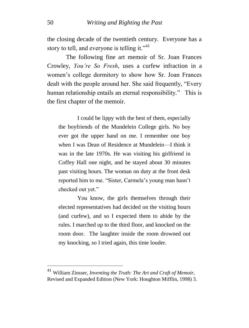the closing decade of the twentieth century. Everyone has a story to tell, and everyone is telling it." $41$ 

The following fine art memoir of Sr. Joan Frances Crowley, *You're So Fresh*, uses a curfew infraction in a women"s college dormitory to show how Sr. Joan Frances dealt with the people around her. She said frequently, "Every human relationship entails an eternal responsibility." This is the first chapter of the memoir.

I could be lippy with the best of them, especially the boyfriends of the Mundelein College girls. No boy ever got the upper hand on me. I remember one boy when I was Dean of Residence at Mundelein—I think it was in the late 1970s. He was visiting his girlfriend in Coffey Hall one night, and he stayed about 30 minutes past visiting hours. The woman on duty at the front desk reported him to me. "Sister, Carmela's young man hasn't checked out yet."

You know, the girls themselves through their elected representatives had decided on the visiting hours (and curfew), and so I expected them to abide by the rules. I marched up to the third floor, and knocked on the room door. The laughter inside the room drowned out my knocking, so I tried again, this time louder.

<sup>41</sup> William Zinsser, *Inventing the Truth: The Art and Craft of Memoir,*  Revised and Expanded Edition (New York: Houghton Mifflin, 1998) 3.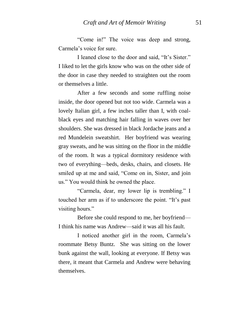"Come in!" The voice was deep and strong, Carmela"s voice for sure.

I leaned close to the door and said, "It"s Sister." I liked to let the girls know who was on the other side of the door in case they needed to straighten out the room or themselves a little.

After a few seconds and some ruffling noise inside, the door opened but not too wide. Carmela was a lovely Italian girl, a few inches taller than I, with coalblack eyes and matching hair falling in waves over her shoulders. She was dressed in black Jordache jeans and a red Mundelein sweatshirt. Her boyfriend was wearing gray sweats, and he was sitting on the floor in the middle of the room. It was a typical dormitory residence with two of everything—beds, desks, chairs, and closets. He smiled up at me and said, "Come on in, Sister, and join us." You would think he owned the place.

"Carmela, dear, my lower lip is trembling." I touched her arm as if to underscore the point. "It"s past visiting hours."

Before she could respond to me, her boyfriend— I think his name was Andrew—said it was all his fault.

I noticed another girl in the room, Carmela"s roommate Betsy Buntz. She was sitting on the lower bunk against the wall, looking at everyone. If Betsy was there, it meant that Carmela and Andrew were behaving themselves.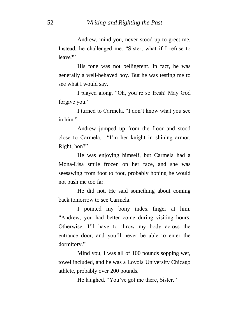Andrew, mind you, never stood up to greet me. Instead, he challenged me. "Sister, what if I refuse to leave?"

His tone was not belligerent. In fact, he was generally a well-behaved boy. But he was testing me to see what I would say.

I played along. "Oh, you"re so fresh! May God forgive you."

I turned to Carmela. "I don"t know what you see in him"

Andrew jumped up from the floor and stood close to Carmela. "I"m her knight in shining armor. Right, hon?"

He was enjoying himself, but Carmela had a Mona-Lisa smile frozen on her face, and she was seesawing from foot to foot, probably hoping he would not push me too far.

He did not. He said something about coming back tomorrow to see Carmela.

I pointed my bony index finger at him. "Andrew, you had better come during visiting hours. Otherwise, I"ll have to throw my body across the entrance door, and you"ll never be able to enter the dormitory."

Mind you, I was all of 100 pounds sopping wet, towel included, and he was a Loyola University Chicago athlete, probably over 200 pounds.

He laughed. "You"ve got me there, Sister."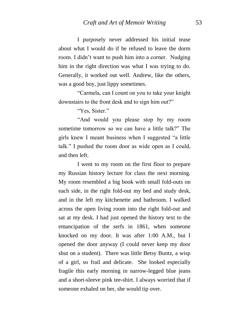I purposely never addressed his initial tease about what I would do if he refused to leave the dorm room. I didn"t want to push him into a corner. Nudging him in the right direction was what I was trying to do. Generally, it worked out well. Andrew, like the others, was a good boy, just lippy sometimes.

"Carmela, can I count on you to take your knight downstairs to the front desk and to sign him out?"

"Yes, Sister."

"And would you please stop by my room sometime tomorrow so we can have a little talk?" The girls knew I meant business when I suggested "a little talk." I pushed the room door as wide open as I could, and then left.

I went to my room on the first floor to prepare my Russian history lecture for class the next morning. My room resembled a big book with small fold-outs on each side, in the right fold-out my bed and study desk, and in the left my kitchenette and bathroom. I walked across the open living room into the right fold-out and sat at my desk. I had just opened the history text to the emancipation of the serfs in 1861, when someone knocked on my door. It was after 1:00 A.M., but I opened the door anyway (I could never keep my door shut on a student). There was little Betsy Buntz, a wisp of a girl, so frail and delicate. She looked especially fragile this early morning in narrow-legged blue jeans and a short-sleeve pink tee-shirt. I always worried that if someone exhaled on her, she would tip over.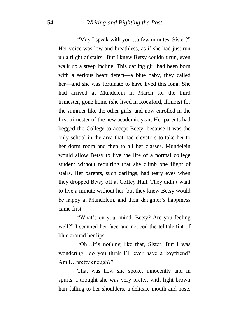"May I speak with you…a few minutes, Sister?" Her voice was low and breathless, as if she had just run up a flight of stairs. But I knew Betsy couldn"t run, even walk up a steep incline. This darling girl had been born with a serious heart defect—a blue baby, they called her—and she was fortunate to have lived this long. She had arrived at Mundelein in March for the third trimester, gone home (she lived in Rockford, Illinois) for the summer like the other girls, and now enrolled in the first trimester of the new academic year. Her parents had begged the College to accept Betsy, because it was the only school in the area that had elevators to take her to her dorm room and then to all her classes. Mundelein would allow Betsy to live the life of a normal college student without requiring that she climb one flight of stairs. Her parents, such darlings, had teary eyes when they dropped Betsy off at Coffey Hall. They didn"t want to live a minute without her, but they knew Betsy would be happy at Mundelein, and their daughter's happiness came first.

"What"s on your mind, Betsy? Are you feeling well?" I scanned her face and noticed the telltale tint of blue around her lips.

"Oh…it"s nothing like that, Sister. But I was wondering…do you think I"ll ever have a boyfriend? Am I…pretty enough?"

That was how she spoke, innocently and in spurts. I thought she was very pretty, with light brown hair falling to her shoulders, a delicate mouth and nose,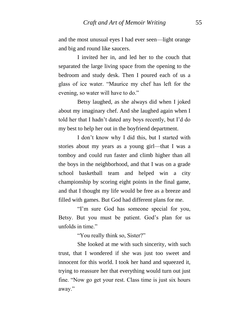and the most unusual eyes I had ever seen—light orange and big and round like saucers.

I invited her in, and led her to the couch that separated the large living space from the opening to the bedroom and study desk. Then I poured each of us a glass of ice water. "Maurice my chef has left for the evening, so water will have to do."

Betsy laughed, as she always did when I joked about my imaginary chef. And she laughed again when I told her that I hadn"t dated any boys recently, but I"d do my best to help her out in the boyfriend department.

I don"t know why I did this, but I started with stories about my years as a young girl—that I was a tomboy and could run faster and climb higher than all the boys in the neighborhood, and that I was on a grade school basketball team and helped win a city championship by scoring eight points in the final game, and that I thought my life would be free as a breeze and filled with games. But God had different plans for me.

"I"m sure God has someone special for you, Betsy. But you must be patient. God's plan for us unfolds in time."

"You really think so, Sister?"

She looked at me with such sincerity, with such trust, that I wondered if she was just too sweet and innocent for this world. I took her hand and squeezed it, trying to reassure her that everything would turn out just fine. "Now go get your rest. Class time is just six hours away."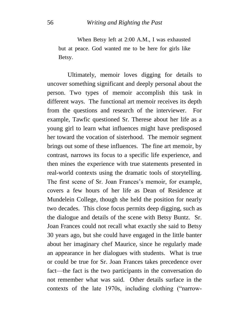When Betsy left at 2:00 A.M., I was exhausted but at peace. God wanted me to be here for girls like Betsy.

Ultimately, memoir loves digging for details to uncover something significant and deeply personal about the person. Two types of memoir accomplish this task in different ways. The functional art memoir receives its depth from the questions and research of the interviewer. For example, Tawfic questioned Sr. Therese about her life as a young girl to learn what influences might have predisposed her toward the vocation of sisterhood. The memoir segment brings out some of these influences. The fine art memoir, by contrast, narrows its focus to a specific life experience, and then mines the experience with true statements presented in real-world contexts using the dramatic tools of storytelling. The first scene of Sr. Joan Frances's memoir, for example, covers a few hours of her life as Dean of Residence at Mundelein College, though she held the position for nearly two decades. This close focus permits deep digging, such as the dialogue and details of the scene with Betsy Buntz. Sr. Joan Frances could not recall what exactly she said to Betsy 30 years ago, but she could have engaged in the little banter about her imaginary chef Maurice, since he regularly made an appearance in her dialogues with students. What is true or could be true for Sr. Joan Frances takes precedence over fact—the fact is the two participants in the conversation do not remember what was said. Other details surface in the contexts of the late 1970s, including clothing ("narrow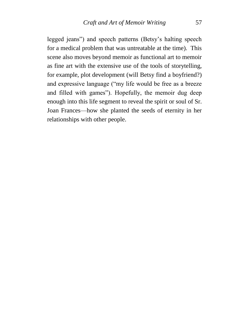legged jeans") and speech patterns (Betsy's halting speech for a medical problem that was untreatable at the time). This scene also moves beyond memoir as functional art to memoir as fine art with the extensive use of the tools of storytelling, for example, plot development (will Betsy find a boyfriend?) and expressive language ("my life would be free as a breeze and filled with games"). Hopefully, the memoir dug deep enough into this life segment to reveal the spirit or soul of Sr. Joan Frances—how she planted the seeds of eternity in her relationships with other people.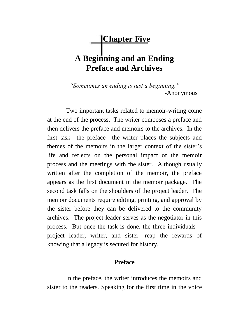# **Chapter Five A Beginning and an Ending Preface and Archives**

*"Sometimes an ending is just a beginning." -*Anonymous

Two important tasks related to memoir-writing come at the end of the process. The writer composes a preface and then delivers the preface and memoirs to the archives. In the first task—the preface—the writer places the subjects and themes of the memoirs in the larger context of the sister"s life and reflects on the personal impact of the memoir process and the meetings with the sister. Although usually written after the completion of the memoir, the preface appears as the first document in the memoir package. The second task falls on the shoulders of the project leader. The memoir documents require editing, printing, and approval by the sister before they can be delivered to the community archives. The project leader serves as the negotiator in this process. But once the task is done, the three individuals project leader, writer, and sister—reap the rewards of knowing that a legacy is secured for history.

#### **Preface**

In the preface, the writer introduces the memoirs and sister to the readers. Speaking for the first time in the voice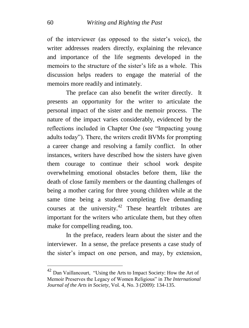of the interviewer (as opposed to the sister"s voice), the writer addresses readers directly, explaining the relevance and importance of the life segments developed in the memoirs to the structure of the sister's life as a whole. This discussion helps readers to engage the material of the memoirs more readily and intimately.

The preface can also benefit the writer directly. It presents an opportunity for the writer to articulate the personal impact of the sister and the memoir process. The nature of the impact varies considerably, evidenced by the reflections included in Chapter One (see "Impacting young adults today"). There, the writers credit BVMs for prompting a career change and resolving a family conflict. In other instances, writers have described how the sisters have given them courage to continue their school work despite overwhelming emotional obstacles before them, like the death of close family members or the daunting challenges of being a mother caring for three young children while at the same time being a student completing five demanding courses at the university.<sup>42</sup> These heartfelt tributes are important for the writers who articulate them, but they often make for compelling reading, too.

In the preface, readers learn about the sister and the interviewer. In a sense, the preface presents a case study of the sister"s impact on one person, and may, by extension,

 $42$  Dan Vaillancourt, "Using the Arts to Impact Society: How the Art of Memoir Preserves the Legacy of Women Religious" in *The International Journal of the Arts in Society*, Vol. 4, No. 3 (2009): 134-135.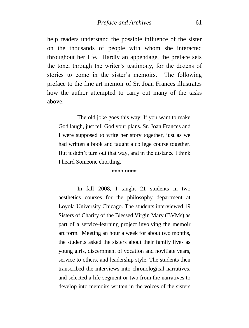help readers understand the possible influence of the sister on the thousands of people with whom she interacted throughout her life. Hardly an appendage, the preface sets the tone, through the writer"s testimony, for the dozens of stories to come in the sister's memoirs. The following preface to the fine art memoir of Sr. Joan Frances illustrates how the author attempted to carry out many of the tasks above.

The old joke goes this way: If you want to make God laugh, just tell God your plans. Sr. Joan Frances and I were supposed to write her story together, just as we had written a book and taught a college course together. But it didn"t turn out that way, and in the distance I think I heard Someone chortling.

COCOCOCO

In fall 2008, I taught 21 students in two aesthetics courses for the philosophy department at Loyola University Chicago. The students interviewed 19 Sisters of Charity of the Blessed Virgin Mary (BVMs) as part of a service-learning project involving the memoir art form. Meeting an hour a week for about two months, the students asked the sisters about their family lives as young girls, discernment of vocation and novitiate years, service to others, and leadership style. The students then transcribed the interviews into chronological narratives, and selected a life segment or two from the narratives to develop into memoirs written in the voices of the sisters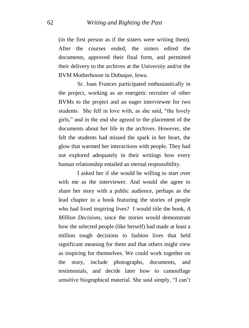(in the first person as if the sisters were writing them). After the courses ended, the sisters edited the documents, approved their final form, and permitted their delivery to the archives at the University and/or the BVM Motherhouse in Dubuque, Iowa.

Sr. Joan Frances participated enthusiastically in the project, working as an energetic recruiter of other BVMs to the project and an eager interviewee for two students. She fell in love with, as she said, "the lovely girls," and in the end she agreed to the placement of the documents about her life in the archives. However, she felt the students had missed the spark in her heart, the glow that warmed her interactions with people. They had not explored adequately in their writings how every human relationship entailed an eternal responsibility.

I asked her if she would be willing to start over with me as the interviewer. And would she agree to share her story with a public audience, perhaps as the lead chapter in a book featuring the stories of people who had lived inspiring lives? I would title the book, *A Million Decisions*, since the stories would demonstrate how the selected people (like herself) had made at least a million tough decisions to fashion lives that held significant meaning for them and that others might view as inspiring for themselves. We could work together on the story, include photographs, documents, and testimonials, and decide later how to camouflage sensitive biographical material. She said simply, "I can"t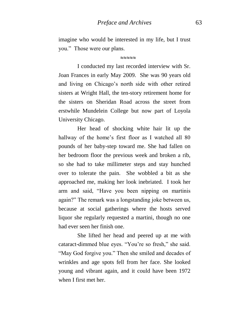imagine who would be interested in my life, but I trust you." Those were our plans.

 $\sim\sim\sim\sim$ 

I conducted my last recorded interview with Sr. Joan Frances in early May 2009. She was 90 years old and living on Chicago"s north side with other retired sisters at Wright Hall, the ten-story retirement home for the sisters on Sheridan Road across the street from erstwhile Mundelein College but now part of Loyola University Chicago.

Her head of shocking white hair lit up the hallway of the home's first floor as I watched all 80 pounds of her baby-step toward me. She had fallen on her bedroom floor the previous week and broken a rib, so she had to take millimeter steps and stay hunched over to tolerate the pain. She wobbled a bit as she approached me, making her look inebriated. I took her arm and said, "Have you been nipping on martinis again?" The remark was a longstanding joke between us, because at social gatherings where the hosts served liquor she regularly requested a martini, though no one had ever seen her finish one.

She lifted her head and peered up at me with cataract-dimmed blue eyes. "You"re so fresh," she said. "May God forgive you." Then she smiled and decades of wrinkles and age spots fell from her face. She looked young and vibrant again, and it could have been 1972 when I first met her.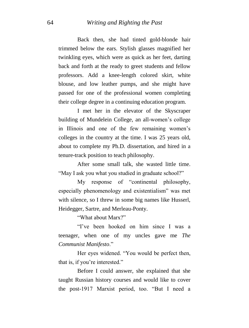Back then, she had tinted gold-blonde hair trimmed below the ears. Stylish glasses magnified her twinkling eyes, which were as quick as her feet, darting back and forth at the ready to greet students and fellow professors. Add a knee-length colored skirt, white blouse, and low leather pumps, and she might have passed for one of the professional women completing their college degree in a continuing education program.

I met her in the elevator of the Skyscraper building of Mundelein College, an all-women's college in Illinois and one of the few remaining women's colleges in the country at the time. I was 25 years old, about to complete my Ph.D. dissertation, and hired in a tenure-track position to teach philosophy.

After some small talk, she wasted little time. "May I ask you what you studied in graduate school?"

My response of "continental philosophy, especially phenomenology and existentialism" was met with silence, so I threw in some big names like Husserl, Heidegger, Sartre, and Merleau-Ponty.

"What about Marx?"

"I"ve been hooked on him since I was a teenager, when one of my uncles gave me *The Communist Manifesto*."

Her eyes widened. "You would be perfect then, that is, if you"re interested."

Before I could answer, she explained that she taught Russian history courses and would like to cover the post-1917 Marxist period, too. "But I need a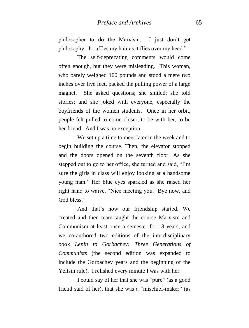philosopher to do the Marxism. I just don"t get philosophy. It ruffles my hair as it flies over my head."

The self-deprecating comments would come often enough, but they were misleading. This woman, who barely weighed 100 pounds and stood a mere two inches over five feet, packed the pulling power of a large magnet. She asked questions; she smiled; she told stories; and she joked with everyone, especially the boyfriends of the women students. Once in her orbit, people felt pulled to come closer, to be with her, to be her friend. And I was no exception.

We set up a time to meet later in the week and to begin building the course. Then, the elevator stopped and the doors opened on the seventh floor. As she stepped out to go to her office, she turned and said, "I"m sure the girls in class will enjoy looking at a handsome young man." Her blue eyes sparkled as she raised her right hand to waive. "Nice meeting you. Bye now, and God bless."

And that"s how our friendship started. We created and then team-taught the course Marxism and Communism at least once a semester for 18 years, and we co-authored two editions of the interdisciplinary book *Lenin to Gorbachev: Three Generations of Communists* (the second edition was expanded to include the Gorbachev years and the beginning of the Yeltsin rule). I relished every minute I was with her.

I could say of her that she was "pure" (as a good friend said of her), that she was a "mischief-maker" (as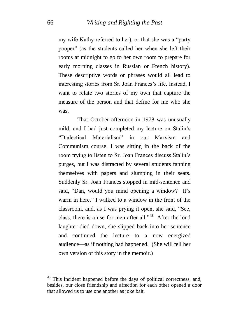my wife Kathy referred to her), or that she was a "party pooper" (as the students called her when she left their rooms at midnight to go to her own room to prepare for early morning classes in Russian or French history). These descriptive words or phrases would all lead to interesting stories from Sr. Joan Frances's life. Instead. I want to relate two stories of my own that capture the measure of the person and that define for me who she was.

That October afternoon in 1978 was unusually mild, and I had just completed my lecture on Stalin"s "Dialectical Materialism" in our Marxism and Communism course. I was sitting in the back of the room trying to listen to Sr. Joan Frances discuss Stalin"s purges, but I was distracted by several students fanning themselves with papers and slumping in their seats. Suddenly Sr. Joan Frances stopped in mid-sentence and said, "Dan, would you mind opening a window? It's warm in here." I walked to a window in the front of the classroom, and, as I was prying it open, she said, "See, class, there is a use for men after all."<sup>43</sup> After the loud laughter died down, she slipped back into her sentence and continued the lecture—to a now energized audience—as if nothing had happened. (She will tell her own version of this story in the memoir.)

<u>.</u>

 $43$  This incident happened before the days of political correctness, and, besides, our close friendship and affection for each other opened a door that allowed us to use one another as joke bait.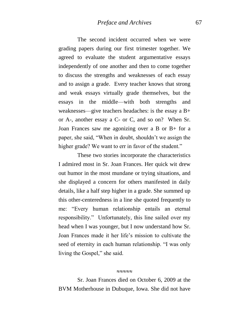The second incident occurred when we were grading papers during our first trimester together. We agreed to evaluate the student argumentative essays independently of one another and then to come together to discuss the strengths and weaknesses of each essay and to assign a grade. Every teacher knows that strong and weak essays virtually grade themselves, but the essays in the middle—with both strengths and weaknesses—give teachers headaches: is the essay a B+ or A-, another essay a C- or C, and so on? When Sr. Joan Frances saw me agonizing over a B or B+ for a paper, she said, "When in doubt, shouldn"t we assign the higher grade? We want to err in favor of the student."

These two stories incorporate the characteristics I admired most in Sr. Joan Frances. Her quick wit drew out humor in the most mundane or trying situations, and she displayed a concern for others manifested in daily details, like a half step higher in a grade. She summed up this other-centeredness in a line she quoted frequently to me: "Every human relationship entails an eternal responsibility." Unfortunately, this line sailed over my head when I was younger, but I now understand how Sr. Joan Frances made it her life"s mission to cultivate the seed of eternity in each human relationship. "I was only living the Gospel," she said.

بمبصبص

Sr. Joan Frances died on October 6, 2009 at the BVM Motherhouse in Dubuque, Iowa. She did not have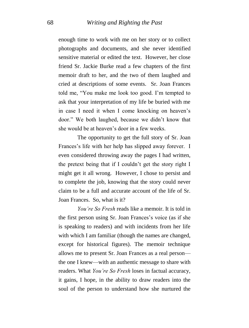enough time to work with me on her story or to collect photographs and documents, and she never identified sensitive material or edited the text. However, her close friend Sr. Jackie Burke read a few chapters of the first memoir draft to her, and the two of them laughed and cried at descriptions of some events. Sr. Joan Frances told me, "You make me look too good. I"m tempted to ask that your interpretation of my life be buried with me in case I need it when I come knocking on heaven's door." We both laughed, because we didn"t know that she would be at heaven"s door in a few weeks.

The opportunity to get the full story of Sr. Joan Frances's life with her help has slipped away forever. I even considered throwing away the pages I had written, the pretext being that if I couldn"t get the story right I might get it all wrong. However, I chose to persist and to complete the job, knowing that the story could never claim to be a full and accurate account of the life of Sr. Joan Frances. So, what is it?

*You're So Fresh* reads like a memoir. It is told in the first person using Sr. Joan Frances"s voice (as if she is speaking to readers) and with incidents from her life with which I am familiar (though the names are changed, except for historical figures). The memoir technique allows me to present Sr. Joan Frances as a real person the one I knew—with an authentic message to share with readers. What *You're So Fresh* loses in factual accuracy, it gains, I hope, in the ability to draw readers into the soul of the person to understand how she nurtured the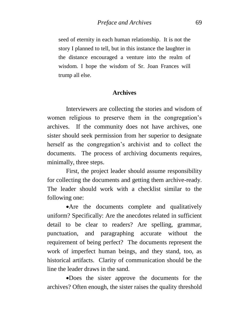seed of eternity in each human relationship. It is not the story I planned to tell, but in this instance the laughter in the distance encouraged a venture into the realm of wisdom. I hope the wisdom of Sr. Joan Frances will trump all else.

#### **Archives**

Interviewers are collecting the stories and wisdom of women religious to preserve them in the congregation's archives. If the community does not have archives, one sister should seek permission from her superior to designate herself as the congregation's archivist and to collect the documents. The process of archiving documents requires, minimally, three steps.

First, the project leader should assume responsibility for collecting the documents and getting them archive-ready. The leader should work with a checklist similar to the following one:

Are the documents complete and qualitatively uniform? Specifically: Are the anecdotes related in sufficient detail to be clear to readers? Are spelling, grammar, punctuation, and paragraphing accurate without the requirement of being perfect? The documents represent the work of imperfect human beings, and they stand, too, as historical artifacts. Clarity of communication should be the line the leader draws in the sand.

Does the sister approve the documents for the archives? Often enough, the sister raises the quality threshold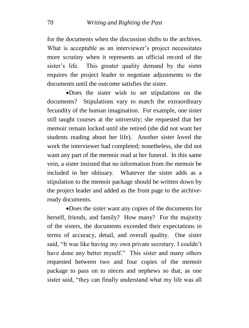for the documents when the discussion shifts to the archives. What is acceptable as an interviewer's project necessitates more scrutiny when it represents an official record of the sister's life. This greater quality demand by the sister requires the project leader to negotiate adjustments to the documents until the outcome satisfies the sister.

Does the sister wish to set stipulations on the documents? Stipulations vary to match the extraordinary fecundity of the human imagination. For example, one sister still taught courses at the university; she requested that her memoir remain locked until she retired (she did not want her students reading about her life). Another sister loved the work the interviewer had completed; nonetheless, she did not want any part of the memoir read at her funeral. In this same vein, a sister insisted that no information from the memoir be included in her obituary. Whatever the sister adds as a stipulation to the memoir package should be written down by the project leader and added as the front page to the archiveready documents.

Does the sister want any copies of the documents for herself, friends, and family? How many? For the majority of the sisters, the documents exceeded their expectations in terms of accuracy, detail, and overall quality. One sister said, "It was like having my own private secretary. I couldn"t have done any better myself." This sister and many others requested between two and four copies of the memoir package to pass on to nieces and nephews so that, as one sister said, "they can finally understand what my life was all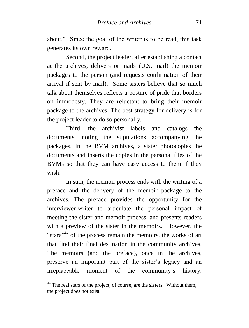about." Since the goal of the writer is to be read, this task generates its own reward.

Second, the project leader, after establishing a contact at the archives, delivers or mails (U.S. mail) the memoir packages to the person (and requests confirmation of their arrival if sent by mail). Some sisters believe that so much talk about themselves reflects a posture of pride that borders on immodesty. They are reluctant to bring their memoir package to the archives. The best strategy for delivery is for the project leader to do so personally.

Third, the archivist labels and catalogs the documents, noting the stipulations accompanying the packages. In the BVM archives, a sister photocopies the documents and inserts the copies in the personal files of the BVMs so that they can have easy access to them if they wish.

In sum, the memoir process ends with the writing of a preface and the delivery of the memoir package to the archives. The preface provides the opportunity for the interviewer-writer to articulate the personal impact of meeting the sister and memoir process, and presents readers with a preview of the sister in the memoirs. However, the "stars"<sup>44</sup> of the process remain the memoirs, the works of art that find their final destination in the community archives. The memoirs (and the preface), once in the archives, preserve an important part of the sister"s legacy and an irreplaceable moment of the community"s history.

<u>.</u>

 $44$  The real stars of the project, of course, are the sisters. Without them, the project does not exist.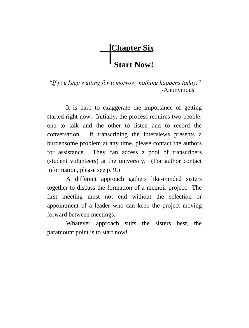# **Chapter Six Start Now!**

*"If you keep waiting for tomorrow, nothing happens today."* -Anonymous

It is hard to exaggerate the importance of getting started right now. Initially, the process requires two people: one to talk and the other to listen and to record the conversation. If transcribing the interviews presents a burdensome problem at any time, please contact the authors for assistance. They can access a pool of transcribers (student volunteers) at the university. (For author contact information, please see p. 9.)

A different approach gathers like-minded sisters together to discuss the formation of a memoir project. The first meeting must not end without the selection or appointment of a leader who can keep the project moving forward between meetings.

Whatever approach suits the sisters best, the paramount point is to start now!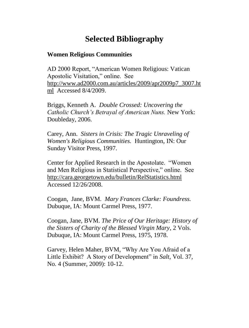## **Selected Bibliography**

#### **Women Religious Communities**

AD 2000 Report, "American Women Religious: Vatican Apostolic Visitation," online. See [http://www.ad2000.com.au/articles/2009/apr2009p7\\_3007.ht](http://www.ad2000.com.au/articles/2009/apr2009p7_3007.html) [ml](http://www.ad2000.com.au/articles/2009/apr2009p7_3007.html) Accessed 8/4/2009.

Briggs, Kenneth A. *Double Crossed: Uncovering the Catholic Church's Betrayal of American Nuns.* New York: Doubleday, 2006.

Carey, Ann. *Sisters in Crisis: The Tragic Unraveling of Women's Religious Communities.* Huntington, IN: Our Sunday Visitor Press, 1997.

Center for Applied Research in the Apostolate. "Women and Men Religious in Statistical Perspective," online. See <http://cara.georgetown.edu/bulletin/RelStatistics.html> Accessed 12/26/2008.

Coogan, Jane, BVM. *Mary Frances Clarke: Foundress.* Dubuque, IA: Mount Carmel Press, 1977.

Coogan, Jane, BVM. *The Price of Our Heritage: History of the Sisters of Charity of the Blessed Virgin Mary*, 2 Vols. Dubuque, IA: Mount Carmel Press, 1975, 1978.

Garvey, Helen Maher, BVM, "Why Are You Afraid of a Little Exhibit? A Story of Development" in *Salt*, Vol. 37, No. 4 (Summer, 2009): 10-12.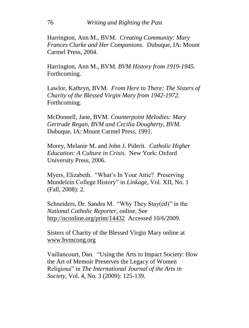Harrington, Ann M., BVM. *Creating Community: Mary Frances Clarke and Her Companions.* Dubuque, IA: Mount Carmel Press, 2004.

Harrington, Ann M., BVM. *BVM History from 1919-1945.*  Forthcoming.

Lawlor, Kathryn, BVM. *From Here to There: The Sisters of Charity of the Blessed Virgin Mary from 1942-1972.*  Forthcoming.

McDonnell, Jane, BVM. *Counterpoint Melodies: Mary Gertrude Regan, BVM and Cecilia Dougherty, BVM.*  Dubuque, IA: Mount Carmel Press, 1991.

Morey, Melanie M. and John J. Piderit. *Catholic Higher Education: A Culture in Crisis.* New York: Oxford University Press, 2006.

Myers, Elizabeth. "What"s In Your Attic? Preserving Mundelein College History" in *Linkage*, Vol. XII, No. 1 (Fall, 2008): 2.

Schneiders, Dr. Sandra M. "Why They Stay(ed)" in the *National Catholic Reporter*, online. See <http://nconline.org/print/14432>Accessed 10/6/2009.

Sisters of Charity of the Blessed Virgin Mary online at [www.bvmcong.org](http://www.bvmcong.org/)

Vaillancourt, Dan. "Using the Arts to Impact Society: How the Art of Memoir Preserves the Legacy of Women Religious" in *The International Journal of the Arts in Society*, Vol. 4, No. 3 (2009): 125-139.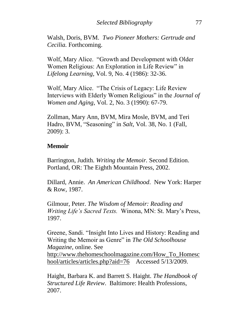Walsh, Doris, BVM. *Two Pioneer Mothers: Gertrude and Cecilia.* Forthcoming.

Wolf, Mary Alice. "Growth and Development with Older Women Religious: An Exploration in Life Review" in *Lifelong Learning*, Vol. 9, No. 4 (1986): 32-36.

Wolf, Mary Alice. "The Crisis of Legacy: Life Review Interviews with Elderly Women Religious" in the *Journal of Women and Aging*, Vol. 2, No. 3 (1990): 67-79.

Zollman, Mary Ann, BVM, Mira Mosle, BVM, and Teri Hadro, BVM, "Seasoning" in *Salt*, Vol. 38, No. 1 (Fall, 2009): 3.

#### **Memoir**

Barrington, Judith. *Writing the Memoir.* Second Edition. Portland, OR: The Eighth Mountain Press, 2002.

Dillard, Annie. *An American Childhood*. New York: Harper & Row, 1987.

Gilmour, Peter. *The Wisdom of Memoir: Reading and Writing Life's Sacred Texts.* Winona, MN: St. Mary"s Press, 1997.

Greene, Sandi. "Insight Into Lives and History: Reading and Writing the Memoir as Genre" in *The Old Schoolhouse Magazine*, online. See [http://www.thehomeschoolmagazine.com/How\\_To\\_Homesc](http://www.thehomeschoolmagazine.com/How_To_Homeschool/articles/articles.php?aid=76) [hool/articles/articles.php?aid=76](http://www.thehomeschoolmagazine.com/How_To_Homeschool/articles/articles.php?aid=76) Accessed 5/13/2009.

Haight, Barbara K. and Barrett S. Haight. *The Handbook of Structured Life Review*. Baltimore: Health Professions, 2007.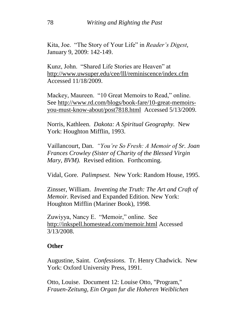Kita, Joe. "The Story of Your Life" in *Reader's Digest*, January 9, 2009: 142-149.

Kunz, John. "Shared Life Stories are Heaven" at <http://www.uwsuper.edu/cee/lll/reminiscence/index.cfm> Accessed 11/18/2009.

Mackey, Maureen. "10 Great Memoirs to Read," online. See [http://www.rd.com/blogs/book-fare/10-great-memoirs](http://www.rd.com/blogs/book-fare/10-great-memoirs-you-must-know-about/post7818.html)[you-must-know-about/post7818.html](http://www.rd.com/blogs/book-fare/10-great-memoirs-you-must-know-about/post7818.html) Accessed 5/13/2009.

Norris, Kathleen. *Dakota: A Spiritual Geography.* New York: Houghton Mifflin, 1993.

Vaillancourt, Dan. *"You're So Fresh: A Memoir of Sr. Joan Frances Crowley (Sister of Charity of the Blessed Virgin Mary, BVM).* Revised edition. Forthcoming.

Vidal, Gore. *Palimpsest.* New York: Random House, 1995.

Zinsser, William. *Inventing the Truth: The Art and Craft of Memoir.* Revised and Expanded Edition. New York: Houghton Mifflin (Mariner Book), 1998.

Zuwiyya, Nancy E. "Memoir," online. See http://inkspell.homestead.com/memoir.html Accessed 3/13/2008.

### **Other**

Augustine, Saint. *Confessions.* Tr. Henry Chadwick. New York: Oxford University Press, 1991.

Otto, Louise. Document 12: Louise Otto, "Program," *Frauen-Zeitung, Ein Organ fur die Hoheren Weiblichen*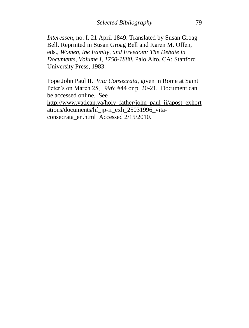*Interessen*, no. I, 21 April 1849. Translated by Susan Groag Bell. Reprinted in Susan Groag Bell and Karen M. Offen, eds., *Women, the Family, and Freedom: The Debate in Documents*, *Volume I, 1750-1880.* Palo Alto, CA: Stanford University Press, 1983.

Pope John Paul II. *Vita Consecrata*, given in Rome at Saint Peter's on March 25, 1996: #44 or p. 20-21. Document can be accessed online. See

[http://www.vatican.va/holy\\_father/john\\_paul\\_ii/apost\\_exhort](http://www.vatican.va/holy_father/john_paul_ii/apost_exhortations/documents/hf_jp-ii_exh_25031996_vita-consecrata_en.html) [ations/documents/hf\\_jp-ii\\_exh\\_25031996\\_vita](http://www.vatican.va/holy_father/john_paul_ii/apost_exhortations/documents/hf_jp-ii_exh_25031996_vita-consecrata_en.html)[consecrata\\_en.html](http://www.vatican.va/holy_father/john_paul_ii/apost_exhortations/documents/hf_jp-ii_exh_25031996_vita-consecrata_en.html) Accessed 2/15/2010.